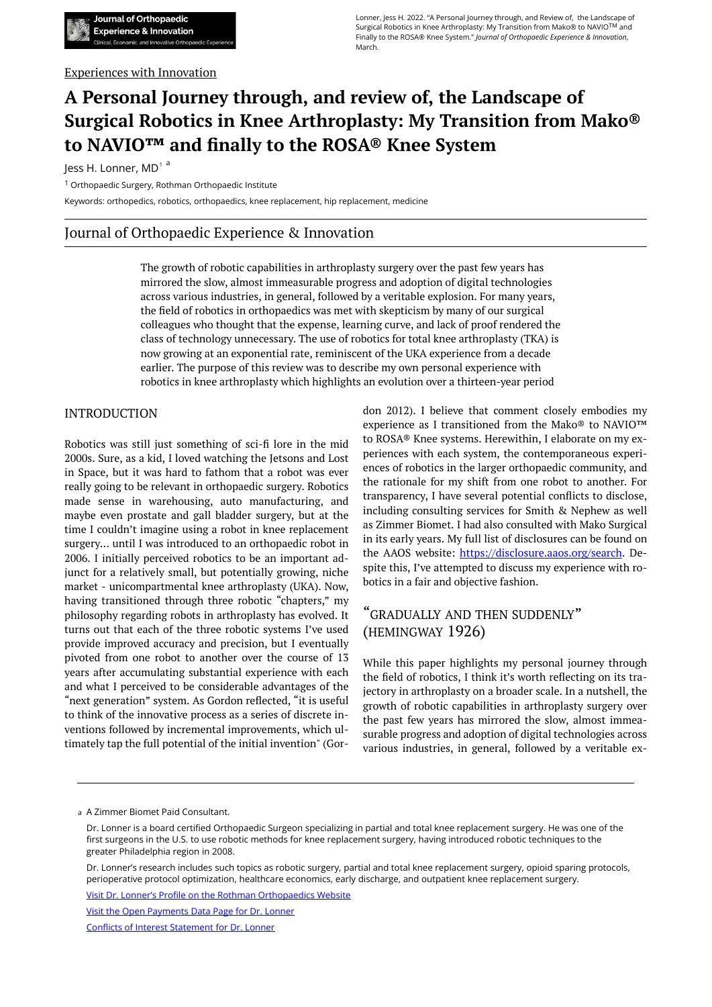#### Experiences with Innovation

# **A Personal Journey through, and review of, the Landscape of Surgical Robotics in Knee Arthroplasty: My Transition from Mako® to NAVIO™ and finally to the ROSA® Knee System**

Jess H. Lonner, MD<sup>1 a</sup>

<sup>1</sup> Orthopaedic Surgery, Rothman Orthopaedic Institute

Keywords: orthopedics, robotics, orthopaedics, knee replacement, hip replacement, medicine

## Journal of Orthopaedic Experience & Innovation

The growth of robotic capabilities in arthroplasty surgery over the past few years has mirrored the slow, almost immeasurable progress and adoption of digital technologies across various industries, in general, followed by a veritable explosion. For many years, the field of robotics in orthopaedics was met with skepticism by many of our surgical colleagues who thought that the expense, learning curve, and lack of proof rendered the class of technology unnecessary. The use of robotics for total knee arthroplasty (TKA) is now growing at an exponential rate, reminiscent of the UKA experience from a decade earlier. The purpose of this review was to describe my own personal experience with robotics in knee arthroplasty which highlights an evolution over a thirteen-year period

### INTRODUCTION

Robotics was still just something of sci-fi lore in the mid 2000s. Sure, as a kid, I loved watching the Jetsons and Lost in Space, but it was hard to fathom that a robot was ever really going to be relevant in orthopaedic surgery. Robotics made sense in warehousing, auto manufacturing, and maybe even prostate and gall bladder surgery, but at the time I couldn't imagine using a robot in knee replacement surgery… until I was introduced to an orthopaedic robot in 2006. I initially perceived robotics to be an important adjunct for a relatively small, but potentially growing, niche market - unicompartmental knee arthroplasty (UKA). Now, having transitioned through three robotic "chapters," my philosophy regarding robots in arthroplasty has evolved. It turns out that each of the three robotic systems I've used provide improved accuracy and precision, but I eventually pivoted from one robot to another over the course of 13 years after accumulating substantial experience with each and what I perceived to be considerable advantages of the "next generation" system. As Gordon reflected, "it is useful to think of the innovative process as a series of discrete inventions followed by incremental improvements, which ultimately tap the full potential of the initial invention" (Gordon 2012). I believe that comment closely embodies my experience as I transitioned from the Mako® to NAVIO™ to ROSA® Knee systems. Herewithin, I elaborate on my experiences with each system, the contemporaneous experiences of robotics in the larger orthopaedic community, and the rationale for my shift from one robot to another. For transparency, I have several potential conflicts to disclose, including consulting services for Smith & Nephew as well as Zimmer Biomet. I had also consulted with Mako Surgical in its early years. My full list of disclosures can be found on the AAOS website: <https://disclosure.aaos.org/search>. Despite this, I've attempted to discuss my experience with robotics in a fair and objective fashion.

## "GRADUALLY AND THEN SUDDENLY" (HEMINGWAY 1926)

While this paper highlights my personal journey through the field of robotics, I think it's worth reflecting on its trajectory in arthroplasty on a broader scale. In a nutshell, the growth of robotic capabilities in arthroplasty surgery over the past few years has mirrored the slow, almost immeasurable progress and adoption of digital technologies across various industries, in general, followed by a veritable ex-

A Zimmer Biomet Paid Consultant. a

Dr. Lonner's research includes such topics as robotic surgery, partial and total knee replacement surgery, opioid sparing protocols, perioperative protocol optimization, healthcare economics, early discharge, and outpatient knee replacement surgery.

[Visit Dr. Lonner's Profile on the Rothman Orthopaedics Website](https://rothmanortho.com/physicians/jess-h-lonner-md)

[Visit the Open Payments Data Page for Dr. Lonner](https://openpaymentsdata.cms.gov/physician/162021)

[Conflicts of Interest Statement for Dr. Lonner](https://irahkirschenbaummd.zenfolio.com/img/g703916864-o360905551.dat?dl=2&tk=-FOcL8FEBDJaGI0Z76BOmF57E-76IuEH8kKUfM3nt9Q=) 

Dr. Lonner is a board certified Orthopaedic Surgeon specializing in partial and total knee replacement surgery. He was one of the first surgeons in the U.S. to use robotic methods for knee replacement surgery, having introduced robotic techniques to the greater Philadelphia region in 2008.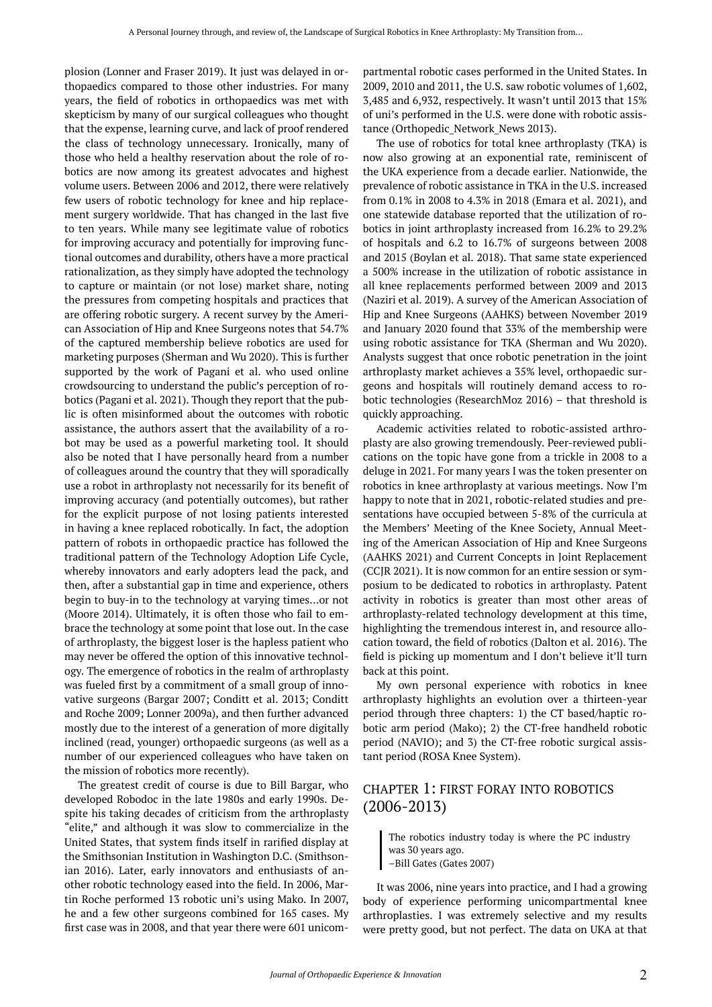plosion (Lonner and Fraser 2019). It just was delayed in orthopaedics compared to those other industries. For many years, the field of robotics in orthopaedics was met with skepticism by many of our surgical colleagues who thought that the expense, learning curve, and lack of proof rendered the class of technology unnecessary. Ironically, many of those who held a healthy reservation about the role of robotics are now among its greatest advocates and highest volume users. Between 2006 and 2012, there were relatively few users of robotic technology for knee and hip replacement surgery worldwide. That has changed in the last five to ten years. While many see legitimate value of robotics for improving accuracy and potentially for improving functional outcomes and durability, others have a more practical rationalization, as they simply have adopted the technology to capture or maintain (or not lose) market share, noting the pressures from competing hospitals and practices that are offering robotic surgery. A recent survey by the American Association of Hip and Knee Surgeons notes that 54.7% of the captured membership believe robotics are used for marketing purposes (Sherman and Wu 2020). This is further supported by the work of Pagani et al. who used online crowdsourcing to understand the public's perception of robotics (Pagani et al. 2021). Though they report that the public is often misinformed about the outcomes with robotic assistance, the authors assert that the availability of a robot may be used as a powerful marketing tool. It should also be noted that I have personally heard from a number of colleagues around the country that they will sporadically use a robot in arthroplasty not necessarily for its benefit of improving accuracy (and potentially outcomes), but rather for the explicit purpose of not losing patients interested in having a knee replaced robotically. In fact, the adoption pattern of robots in orthopaedic practice has followed the traditional pattern of the Technology Adoption Life Cycle, whereby innovators and early adopters lead the pack, and then, after a substantial gap in time and experience, others begin to buy-in to the technology at varying times…or not (Moore 2014). Ultimately, it is often those who fail to embrace the technology at some point that lose out. In the case of arthroplasty, the biggest loser is the hapless patient who may never be offered the option of this innovative technology. The emergence of robotics in the realm of arthroplasty was fueled first by a commitment of a small group of innovative surgeons (Bargar 2007; Conditt et al. 2013; Conditt and Roche 2009; Lonner 2009a), and then further advanced mostly due to the interest of a generation of more digitally inclined (read, younger) orthopaedic surgeons (as well as a number of our experienced colleagues who have taken on the mission of robotics more recently).

The greatest credit of course is due to Bill Bargar, who developed Robodoc in the late 1980s and early 1990s. Despite his taking decades of criticism from the arthroplasty "elite," and although it was slow to commercialize in the United States, that system finds itself in rarified display at the Smithsonian Institution in Washington D.C. (Smithsonian 2016). Later, early innovators and enthusiasts of another robotic technology eased into the field. In 2006, Martin Roche performed 13 robotic uni's using Mako. In 2007, he and a few other surgeons combined for 165 cases. My first case was in 2008, and that year there were 601 unicompartmental robotic cases performed in the United States. In 2009, 2010 and 2011, the U.S. saw robotic volumes of 1,602, 3,485 and 6,932, respectively. It wasn't until 2013 that 15% of uni's performed in the U.S. were done with robotic assistance (Orthopedic Network News 2013).

The use of robotics for total knee arthroplasty (TKA) is now also growing at an exponential rate, reminiscent of the UKA experience from a decade earlier. Nationwide, the prevalence of robotic assistance in TKA in the U.S. increased from 0.1% in 2008 to 4.3% in 2018 (Emara et al. 2021), and one statewide database reported that the utilization of robotics in joint arthroplasty increased from 16.2% to 29.2% of hospitals and 6.2 to 16.7% of surgeons between 2008 and 2015 (Boylan et al. 2018). That same state experienced a 500% increase in the utilization of robotic assistance in all knee replacements performed between 2009 and 2013 (Naziri et al. 2019). A survey of the American Association of Hip and Knee Surgeons (AAHKS) between November 2019 and January 2020 found that 33% of the membership were using robotic assistance for TKA (Sherman and Wu 2020). Analysts suggest that once robotic penetration in the joint arthroplasty market achieves a 35% level, orthopaedic surgeons and hospitals will routinely demand access to robotic technologies (ResearchMoz 2016) – that threshold is quickly approaching.

Academic activities related to robotic-assisted arthroplasty are also growing tremendously. Peer-reviewed publications on the topic have gone from a trickle in 2008 to a deluge in 2021. For many years I was the token presenter on robotics in knee arthroplasty at various meetings. Now I'm happy to note that in 2021, robotic-related studies and presentations have occupied between 5-8% of the curricula at the Members' Meeting of the Knee Society, Annual Meeting of the American Association of Hip and Knee Surgeons (AAHKS 2021) and Current Concepts in Joint Replacement (CCJR 2021). It is now common for an entire session or symposium to be dedicated to robotics in arthroplasty. Patent activity in robotics is greater than most other areas of arthroplasty-related technology development at this time, highlighting the tremendous interest in, and resource allocation toward, the field of robotics (Dalton et al. 2016). The field is picking up momentum and I don't believe it'll turn back at this point.

My own personal experience with robotics in knee arthroplasty highlights an evolution over a thirteen-year period through three chapters: 1) the CT based/haptic robotic arm period (Mako); 2) the CT-free handheld robotic period (NAVIO); and 3) the CT-free robotic surgical assistant period (ROSA Knee System).

## CHAPTER 1: FIRST FORAY INTO ROBOTICS (2006-2013)

The robotics industry today is where the PC industry was 30 years ago. –Bill Gates (Gates 2007)

It was 2006, nine years into practice, and I had a growing body of experience performing unicompartmental knee arthroplasties. I was extremely selective and my results were pretty good, but not perfect. The data on UKA at that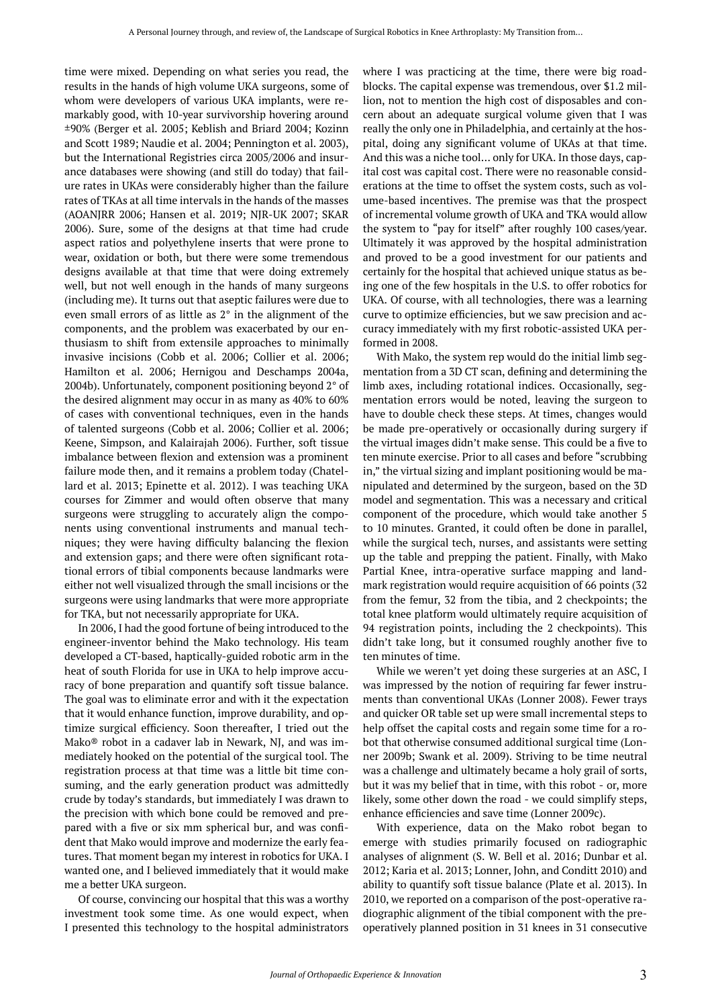time were mixed. Depending on what series you read, the results in the hands of high volume UKA surgeons, some of whom were developers of various UKA implants, were remarkably good, with 10-year survivorship hovering around ±90% (Berger et al. 2005; Keblish and Briard 2004; Kozinn and Scott 1989; Naudie et al. 2004; Pennington et al. 2003), but the International Registries circa 2005/2006 and insurance databases were showing (and still do today) that failure rates in UKAs were considerably higher than the failure rates of TKAs at all time intervals in the hands of the masses (AOANJRR 2006; Hansen et al. 2019; NJR-UK 2007; SKAR 2006). Sure, some of the designs at that time had crude aspect ratios and polyethylene inserts that were prone to wear, oxidation or both, but there were some tremendous designs available at that time that were doing extremely well, but not well enough in the hands of many surgeons (including me). It turns out that aseptic failures were due to even small errors of as little as 2° in the alignment of the components, and the problem was exacerbated by our enthusiasm to shift from extensile approaches to minimally invasive incisions (Cobb et al. 2006; Collier et al. 2006; Hamilton et al. 2006; Hernigou and Deschamps 2004a, 2004b). Unfortunately, component positioning beyond 2° of the desired alignment may occur in as many as 40% to 60% of cases with conventional techniques, even in the hands of talented surgeons (Cobb et al. 2006; Collier et al. 2006; Keene, Simpson, and Kalairajah 2006). Further, soft tissue imbalance between flexion and extension was a prominent failure mode then, and it remains a problem today (Chatellard et al. 2013; Epinette et al. 2012). I was teaching UKA courses for Zimmer and would often observe that many surgeons were struggling to accurately align the components using conventional instruments and manual techniques; they were having difficulty balancing the flexion and extension gaps; and there were often significant rotational errors of tibial components because landmarks were either not well visualized through the small incisions or the surgeons were using landmarks that were more appropriate for TKA, but not necessarily appropriate for UKA.

In 2006, I had the good fortune of being introduced to the engineer-inventor behind the Mako technology. His team developed a CT-based, haptically-guided robotic arm in the heat of south Florida for use in UKA to help improve accuracy of bone preparation and quantify soft tissue balance. The goal was to eliminate error and with it the expectation that it would enhance function, improve durability, and optimize surgical efficiency. Soon thereafter, I tried out the Mako<sup>®</sup> robot in a cadaver lab in Newark, NJ, and was immediately hooked on the potential of the surgical tool. The registration process at that time was a little bit time consuming, and the early generation product was admittedly crude by today's standards, but immediately I was drawn to the precision with which bone could be removed and prepared with a five or six mm spherical bur, and was confident that Mako would improve and modernize the early features. That moment began my interest in robotics for UKA. I wanted one, and I believed immediately that it would make me a better UKA surgeon.

Of course, convincing our hospital that this was a worthy investment took some time. As one would expect, when I presented this technology to the hospital administrators

where I was practicing at the time, there were big roadblocks. The capital expense was tremendous, over \$1.2 million, not to mention the high cost of disposables and concern about an adequate surgical volume given that I was really the only one in Philadelphia, and certainly at the hospital, doing any significant volume of UKAs at that time. And this was a niche tool… only for UKA. In those days, capital cost was capital cost. There were no reasonable considerations at the time to offset the system costs, such as volume-based incentives. The premise was that the prospect of incremental volume growth of UKA and TKA would allow the system to "pay for itself" after roughly 100 cases/year. Ultimately it was approved by the hospital administration and proved to be a good investment for our patients and certainly for the hospital that achieved unique status as being one of the few hospitals in the U.S. to offer robotics for UKA. Of course, with all technologies, there was a learning curve to optimize efficiencies, but we saw precision and accuracy immediately with my first robotic-assisted UKA performed in 2008.

With Mako, the system rep would do the initial limb segmentation from a 3D CT scan, defining and determining the limb axes, including rotational indices. Occasionally, segmentation errors would be noted, leaving the surgeon to have to double check these steps. At times, changes would be made pre-operatively or occasionally during surgery if the virtual images didn't make sense. This could be a five to ten minute exercise. Prior to all cases and before "scrubbing in," the virtual sizing and implant positioning would be manipulated and determined by the surgeon, based on the 3D model and segmentation. This was a necessary and critical component of the procedure, which would take another 5 to 10 minutes. Granted, it could often be done in parallel, while the surgical tech, nurses, and assistants were setting up the table and prepping the patient. Finally, with Mako Partial Knee, intra-operative surface mapping and landmark registration would require acquisition of 66 points (32 from the femur, 32 from the tibia, and 2 checkpoints; the total knee platform would ultimately require acquisition of 94 registration points, including the 2 checkpoints). This didn't take long, but it consumed roughly another five to ten minutes of time.

While we weren't yet doing these surgeries at an ASC, I was impressed by the notion of requiring far fewer instruments than conventional UKAs (Lonner 2008). Fewer trays and quicker OR table set up were small incremental steps to help offset the capital costs and regain some time for a robot that otherwise consumed additional surgical time (Lonner 2009b; Swank et al. 2009). Striving to be time neutral was a challenge and ultimately became a holy grail of sorts, but it was my belief that in time, with this robot - or, more likely, some other down the road - we could simplify steps, enhance efficiencies and save time (Lonner 2009c).

With experience, data on the Mako robot began to emerge with studies primarily focused on radiographic analyses of alignment (S. W. Bell et al. 2016; Dunbar et al. 2012; Karia et al. 2013; Lonner, John, and Conditt 2010) and ability to quantify soft tissue balance (Plate et al. 2013). In 2010, we reported on a comparison of the post-operative radiographic alignment of the tibial component with the preoperatively planned position in 31 knees in 31 consecutive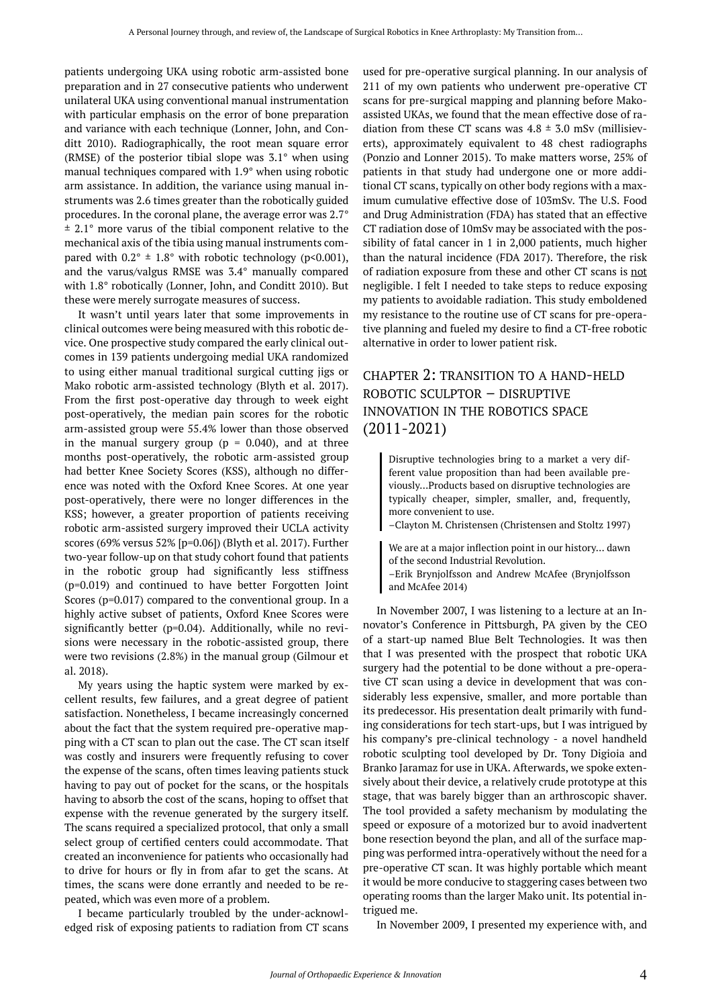patients undergoing UKA using robotic arm-assisted bone preparation and in 27 consecutive patients who underwent unilateral UKA using conventional manual instrumentation with particular emphasis on the error of bone preparation and variance with each technique (Lonner, John, and Conditt 2010). Radiographically, the root mean square error (RMSE) of the posterior tibial slope was 3.1° when using manual techniques compared with 1.9° when using robotic arm assistance. In addition, the variance using manual instruments was 2.6 times greater than the robotically guided procedures. In the coronal plane, the average error was 2.7° ± 2.1° more varus of the tibial component relative to the mechanical axis of the tibia using manual instruments compared with  $0.2^{\circ} \pm 1.8^{\circ}$  with robotic technology (p<0.001), and the varus/valgus RMSE was 3.4° manually compared with 1.8° robotically (Lonner, John, and Conditt 2010). But these were merely surrogate measures of success.

It wasn't until years later that some improvements in clinical outcomes were being measured with this robotic device. One prospective study compared the early clinical outcomes in 139 patients undergoing medial UKA randomized to using either manual traditional surgical cutting jigs or Mako robotic arm-assisted technology (Blyth et al. 2017). From the first post-operative day through to week eight post-operatively, the median pain scores for the robotic arm-assisted group were 55.4% lower than those observed in the manual surgery group ( $p = 0.040$ ), and at three months post-operatively, the robotic arm-assisted group had better Knee Society Scores (KSS), although no difference was noted with the Oxford Knee Scores. At one year post-operatively, there were no longer differences in the KSS; however, a greater proportion of patients receiving robotic arm-assisted surgery improved their UCLA activity scores (69% versus 52% [p=0.06]) (Blyth et al. 2017). Further two-year follow-up on that study cohort found that patients in the robotic group had significantly less stiffness (p=0.019) and continued to have better Forgotten Joint Scores (p=0.017) compared to the conventional group. In a highly active subset of patients, Oxford Knee Scores were significantly better (p=0.04). Additionally, while no revisions were necessary in the robotic-assisted group, there were two revisions (2.8%) in the manual group (Gilmour et al. 2018).

My years using the haptic system were marked by excellent results, few failures, and a great degree of patient satisfaction. Nonetheless, I became increasingly concerned about the fact that the system required pre-operative mapping with a CT scan to plan out the case. The CT scan itself was costly and insurers were frequently refusing to cover the expense of the scans, often times leaving patients stuck having to pay out of pocket for the scans, or the hospitals having to absorb the cost of the scans, hoping to offset that expense with the revenue generated by the surgery itself. The scans required a specialized protocol, that only a small select group of certified centers could accommodate. That created an inconvenience for patients who occasionally had to drive for hours or fly in from afar to get the scans. At times, the scans were done errantly and needed to be repeated, which was even more of a problem.

I became particularly troubled by the under-acknowledged risk of exposing patients to radiation from CT scans used for pre-operative surgical planning. In our analysis of 211 of my own patients who underwent pre-operative CT scans for pre-surgical mapping and planning before Makoassisted UKAs, we found that the mean effective dose of radiation from these CT scans was  $4.8 \pm 3.0$  mSv (millisieverts), approximately equivalent to 48 chest radiographs (Ponzio and Lonner 2015). To make matters worse, 25% of patients in that study had undergone one or more additional CT scans, typically on other body regions with a maximum cumulative effective dose of 103mSv. The U.S. Food and Drug Administration (FDA) has stated that an effective CT radiation dose of 10mSv may be associated with the possibility of fatal cancer in 1 in 2,000 patients, much higher than the natural incidence (FDA 2017). Therefore, the risk of radiation exposure from these and other CT scans is not negligible. I felt I needed to take steps to reduce exposing my patients to avoidable radiation. This study emboldened my resistance to the routine use of CT scans for pre-operative planning and fueled my desire to find a CT-free robotic alternative in order to lower patient risk.

# CHAPTER 2: TRANSITION TO A HAND-HELD ROBOTIC SCULPTOR – DISRUPTIVE INNOVATION IN THE ROBOTICS SPACE (2011-2021)

Disruptive technologies bring to a market a very different value proposition than had been available previously…Products based on disruptive technologies are typically cheaper, simpler, smaller, and, frequently, more convenient to use.

–Clayton M. Christensen (Christensen and Stoltz 1997)

We are at a major inflection point in our history… dawn of the second Industrial Revolution.

–Erik Brynjolfsson and Andrew McAfee (Brynjolfsson and McAfee 2014)

In November 2007, I was listening to a lecture at an Innovator's Conference in Pittsburgh, PA given by the CEO of a start-up named Blue Belt Technologies. It was then that I was presented with the prospect that robotic UKA surgery had the potential to be done without a pre-operative CT scan using a device in development that was considerably less expensive, smaller, and more portable than its predecessor. His presentation dealt primarily with funding considerations for tech start-ups, but I was intrigued by his company's pre-clinical technology - a novel handheld robotic sculpting tool developed by Dr. Tony Digioia and Branko Jaramaz for use in UKA. Afterwards, we spoke extensively about their device, a relatively crude prototype at this stage, that was barely bigger than an arthroscopic shaver. The tool provided a safety mechanism by modulating the speed or exposure of a motorized bur to avoid inadvertent bone resection beyond the plan, and all of the surface mapping was performed intra-operatively without the need for a pre-operative CT scan. It was highly portable which meant it would be more conducive to staggering cases between two operating rooms than the larger Mako unit. Its potential intrigued me.

In November 2009, I presented my experience with, and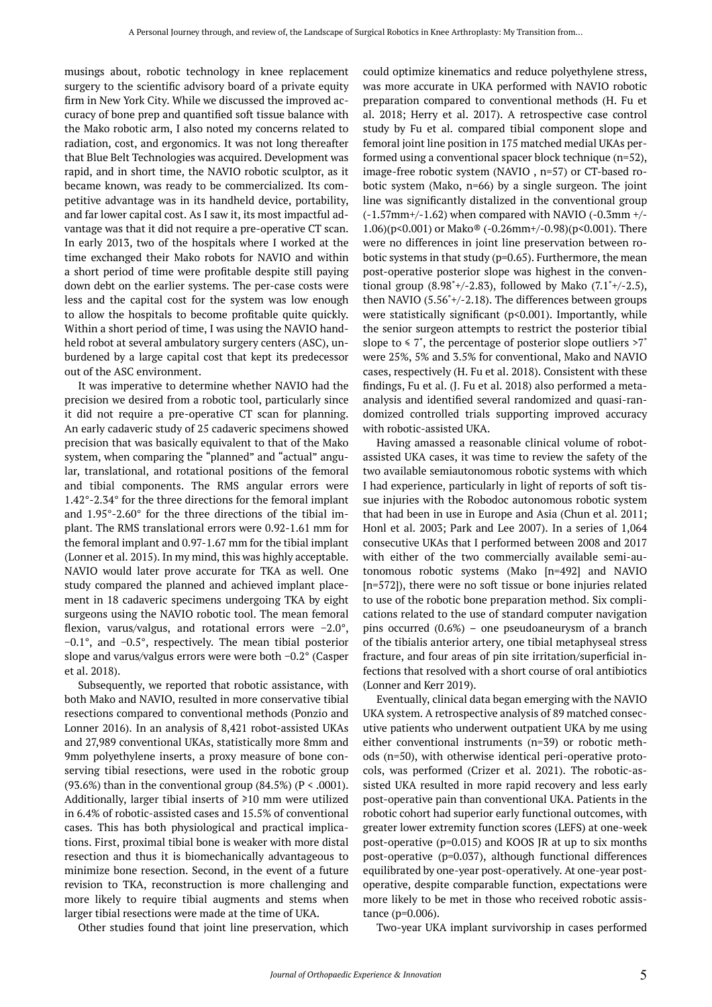musings about, robotic technology in knee replacement surgery to the scientific advisory board of a private equity firm in New York City. While we discussed the improved accuracy of bone prep and quantified soft tissue balance with the Mako robotic arm, I also noted my concerns related to radiation, cost, and ergonomics. It was not long thereafter that Blue Belt Technologies was acquired. Development was rapid, and in short time, the NAVIO robotic sculptor, as it became known, was ready to be commercialized. Its competitive advantage was in its handheld device, portability, and far lower capital cost. As I saw it, its most impactful advantage was that it did not require a pre-operative CT scan. In early 2013, two of the hospitals where I worked at the time exchanged their Mako robots for NAVIO and within a short period of time were profitable despite still paying down debt on the earlier systems. The per-case costs were less and the capital cost for the system was low enough to allow the hospitals to become profitable quite quickly. Within a short period of time, I was using the NAVIO handheld robot at several ambulatory surgery centers (ASC), unburdened by a large capital cost that kept its predecessor out of the ASC environment.

It was imperative to determine whether NAVIO had the precision we desired from a robotic tool, particularly since it did not require a pre-operative CT scan for planning. An early cadaveric study of 25 cadaveric specimens showed precision that was basically equivalent to that of the Mako system, when comparing the "planned" and "actual" angular, translational, and rotational positions of the femoral and tibial components. The RMS angular errors were 1.42°-2.34° for the three directions for the femoral implant and 1.95°-2.60° for the three directions of the tibial implant. The RMS translational errors were 0.92-1.61 mm for the femoral implant and 0.97-1.67 mm for the tibial implant (Lonner et al. 2015). In my mind, this was highly acceptable. NAVIO would later prove accurate for TKA as well. One study compared the planned and achieved implant placement in 18 cadaveric specimens undergoing TKA by eight surgeons using the NAVIO robotic tool. The mean femoral flexion, varus/valgus, and rotational errors were −2.0°, −0.1°, and −0.5°, respectively. The mean tibial posterior slope and varus/valgus errors were were both −0.2° (Casper et al. 2018).

Subsequently, we reported that robotic assistance, with both Mako and NAVIO, resulted in more conservative tibial resections compared to conventional methods (Ponzio and Lonner 2016). In an analysis of 8,421 robot-assisted UKAs and 27,989 conventional UKAs, statistically more 8mm and 9mm polyethylene inserts, a proxy measure of bone conserving tibial resections, were used in the robotic group (93.6%) than in the conventional group  $(84.5\%)$  (P < .0001). Additionally, larger tibial inserts of ≥10 mm were utilized in 6.4% of robotic-assisted cases and 15.5% of conventional cases. This has both physiological and practical implications. First, proximal tibial bone is weaker with more distal resection and thus it is biomechanically advantageous to minimize bone resection. Second, in the event of a future revision to TKA, reconstruction is more challenging and more likely to require tibial augments and stems when larger tibial resections were made at the time of UKA.

Other studies found that joint line preservation, which

could optimize kinematics and reduce polyethylene stress, was more accurate in UKA performed with NAVIO robotic preparation compared to conventional methods (H. Fu et al. 2018; Herry et al. 2017). A retrospective case control study by Fu et al. compared tibial component slope and femoral joint line position in 175 matched medial UKAs performed using a conventional spacer block technique (n=52), image-free robotic system (NAVIO , n=57) or CT-based robotic system (Mako, n=66) by a single surgeon. The joint line was significantly distalized in the conventional group  $(-1.57$ mm+/-1.62) when compared with NAVIO  $(-0.3$ mm +/-1.06)(p<0.001) or Mako® (-0.26mm+/-0.98)(p<0.001). There were no differences in joint line preservation between robotic systems in that study (p=0.65). Furthermore, the mean post-operative posterior slope was highest in the conventional group  $(8.98^{\degree}+/2.83)$ , followed by Mako  $(7.1^{\degree}+/2.5)$ , then NAVIO (5.56˚+/-2.18). The differences between groups were statistically significant (p<0.001). Importantly, while the senior surgeon attempts to restrict the posterior tibial slope to  $\leq 7^\circ$ , the percentage of posterior slope outliers  $>7^\circ$ were 25%, 5% and 3.5% for conventional, Mako and NAVIO cases, respectively (H. Fu et al. 2018). Consistent with these findings, Fu et al. (J. Fu et al. 2018) also performed a metaanalysis and identified several randomized and quasi-randomized controlled trials supporting improved accuracy with robotic-assisted UKA.

Having amassed a reasonable clinical volume of robotassisted UKA cases, it was time to review the safety of the two available semiautonomous robotic systems with which I had experience, particularly in light of reports of soft tissue injuries with the Robodoc autonomous robotic system that had been in use in Europe and Asia (Chun et al. 2011; Honl et al. 2003; Park and Lee 2007). In a series of 1,064 consecutive UKAs that I performed between 2008 and 2017 with either of the two commercially available semi-autonomous robotic systems (Mako [n=492] and NAVIO [n=572]), there were no soft tissue or bone injuries related to use of the robotic bone preparation method. Six complications related to the use of standard computer navigation pins occurred (0.6%) – one pseudoaneurysm of a branch of the tibialis anterior artery, one tibial metaphyseal stress fracture, and four areas of pin site irritation/superficial infections that resolved with a short course of oral antibiotics (Lonner and Kerr 2019).

Eventually, clinical data began emerging with the NAVIO UKA system. A retrospective analysis of 89 matched consecutive patients who underwent outpatient UKA by me using either conventional instruments (n=39) or robotic methods (n=50), with otherwise identical peri-operative protocols, was performed (Crizer et al. 2021). The robotic-assisted UKA resulted in more rapid recovery and less early post-operative pain than conventional UKA. Patients in the robotic cohort had superior early functional outcomes, with greater lower extremity function scores (LEFS) at one-week post-operative (p=0.015) and KOOS JR at up to six months post-operative (p=0.037), although functional differences equilibrated by one-year post-operatively. At one-year postoperative, despite comparable function, expectations were more likely to be met in those who received robotic assistance (p=0.006).

Two-year UKA implant survivorship in cases performed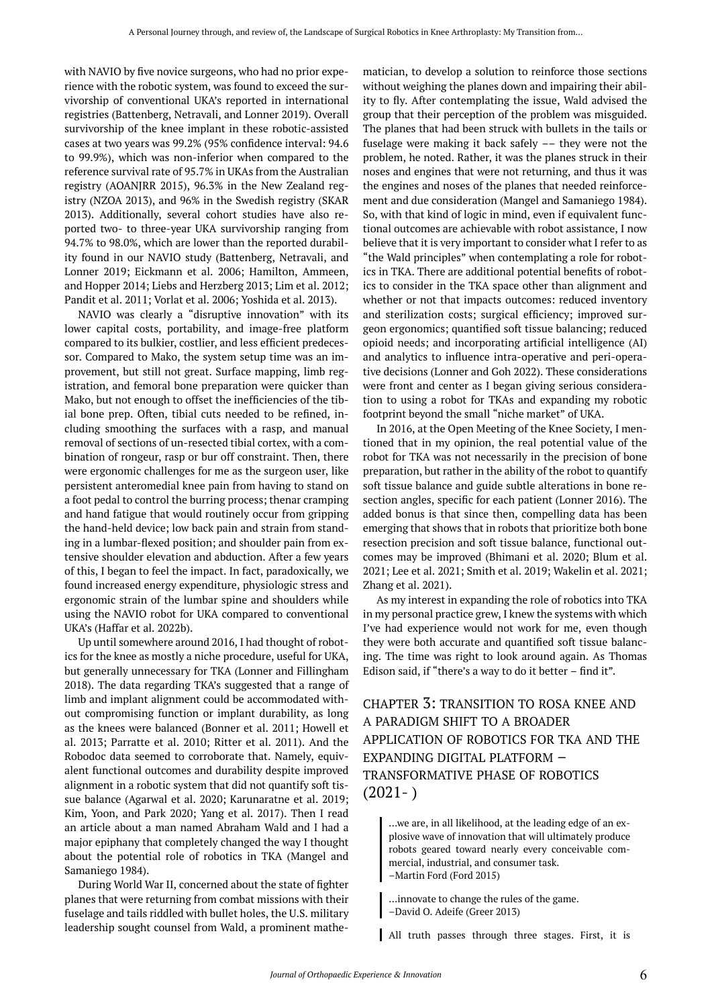with NAVIO by five novice surgeons, who had no prior experience with the robotic system, was found to exceed the survivorship of conventional UKA's reported in international registries (Battenberg, Netravali, and Lonner 2019). Overall survivorship of the knee implant in these robotic-assisted cases at two years was 99.2% (95% confidence interval: 94.6 to 99.9%), which was non-inferior when compared to the reference survival rate of 95.7% in UKAs from the Australian registry (AOANJRR 2015), 96.3% in the New Zealand registry (NZOA 2013), and 96% in the Swedish registry (SKAR 2013). Additionally, several cohort studies have also reported two- to three-year UKA survivorship ranging from 94.7% to 98.0%, which are lower than the reported durability found in our NAVIO study (Battenberg, Netravali, and Lonner 2019; Eickmann et al. 2006; Hamilton, Ammeen, and Hopper 2014; Liebs and Herzberg 2013; Lim et al. 2012; Pandit et al. 2011; Vorlat et al. 2006; Yoshida et al. 2013).

NAVIO was clearly a "disruptive innovation" with its lower capital costs, portability, and image-free platform compared to its bulkier, costlier, and less efficient predecessor. Compared to Mako, the system setup time was an improvement, but still not great. Surface mapping, limb registration, and femoral bone preparation were quicker than Mako, but not enough to offset the inefficiencies of the tibial bone prep. Often, tibial cuts needed to be refined, including smoothing the surfaces with a rasp, and manual removal of sections of un-resected tibial cortex, with a combination of rongeur, rasp or bur off constraint. Then, there were ergonomic challenges for me as the surgeon user, like persistent anteromedial knee pain from having to stand on a foot pedal to control the burring process; thenar cramping and hand fatigue that would routinely occur from gripping the hand-held device; low back pain and strain from standing in a lumbar-flexed position; and shoulder pain from extensive shoulder elevation and abduction. After a few years of this, I began to feel the impact. In fact, paradoxically, we found increased energy expenditure, physiologic stress and ergonomic strain of the lumbar spine and shoulders while using the NAVIO robot for UKA compared to conventional UKA's (Haffar et al. 2022b).

Up until somewhere around 2016, I had thought of robotics for the knee as mostly a niche procedure, useful for UKA, but generally unnecessary for TKA (Lonner and Fillingham 2018). The data regarding TKA's suggested that a range of limb and implant alignment could be accommodated without compromising function or implant durability, as long as the knees were balanced (Bonner et al. 2011; Howell et al. 2013; Parratte et al. 2010; Ritter et al. 2011). And the Robodoc data seemed to corroborate that. Namely, equivalent functional outcomes and durability despite improved alignment in a robotic system that did not quantify soft tissue balance (Agarwal et al. 2020; Karunaratne et al. 2019; Kim, Yoon, and Park 2020; Yang et al. 2017). Then I read an article about a man named Abraham Wald and I had a major epiphany that completely changed the way I thought about the potential role of robotics in TKA (Mangel and Samaniego 1984).

During World War II, concerned about the state of fighter planes that were returning from combat missions with their fuselage and tails riddled with bullet holes, the U.S. military leadership sought counsel from Wald, a prominent mathe-

matician, to develop a solution to reinforce those sections without weighing the planes down and impairing their ability to fly. After contemplating the issue, Wald advised the group that their perception of the problem was misguided. The planes that had been struck with bullets in the tails or fuselage were making it back safely –– they were not the problem, he noted. Rather, it was the planes struck in their noses and engines that were not returning, and thus it was the engines and noses of the planes that needed reinforcement and due consideration (Mangel and Samaniego 1984). So, with that kind of logic in mind, even if equivalent functional outcomes are achievable with robot assistance, I now believe that it is very important to consider what I refer to as "the Wald principles" when contemplating a role for robotics in TKA. There are additional potential benefits of robotics to consider in the TKA space other than alignment and whether or not that impacts outcomes: reduced inventory and sterilization costs; surgical efficiency; improved surgeon ergonomics; quantified soft tissue balancing; reduced opioid needs; and incorporating artificial intelligence (AI) and analytics to influence intra-operative and peri-operative decisions (Lonner and Goh 2022). These considerations were front and center as I began giving serious consideration to using a robot for TKAs and expanding my robotic footprint beyond the small "niche market" of UKA.

In 2016, at the Open Meeting of the Knee Society, I mentioned that in my opinion, the real potential value of the robot for TKA was not necessarily in the precision of bone preparation, but rather in the ability of the robot to quantify soft tissue balance and guide subtle alterations in bone resection angles, specific for each patient (Lonner 2016). The added bonus is that since then, compelling data has been emerging that shows that in robots that prioritize both bone resection precision and soft tissue balance, functional outcomes may be improved (Bhimani et al. 2020; Blum et al. 2021; Lee et al. 2021; Smith et al. 2019; Wakelin et al. 2021; Zhang et al. 2021).

As my interest in expanding the role of robotics into TKA in my personal practice grew, I knew the systems with which I've had experience would not work for me, even though they were both accurate and quantified soft tissue balancing. The time was right to look around again. As Thomas Edison said, if "there's a way to do it better – find it".

CHAPTER 3: TRANSITION TO ROSA KNEE AND A PARADIGM SHIFT TO A BROADER APPLICATION OF ROBOTICS FOR TKA AND THE EXPANDING DIGITAL PLATFORM – TRANSFORMATIVE PHASE OF ROBOTICS  $(2021 - )$ 

…we are, in all likelihood, at the leading edge of an explosive wave of innovation that will ultimately produce robots geared toward nearly every conceivable commercial, industrial, and consumer task. –Martin Ford (Ford 2015)

- …innovate to change the rules of the game.
- –David O. Adeife (Greer 2013)

All truth passes through three stages. First, it is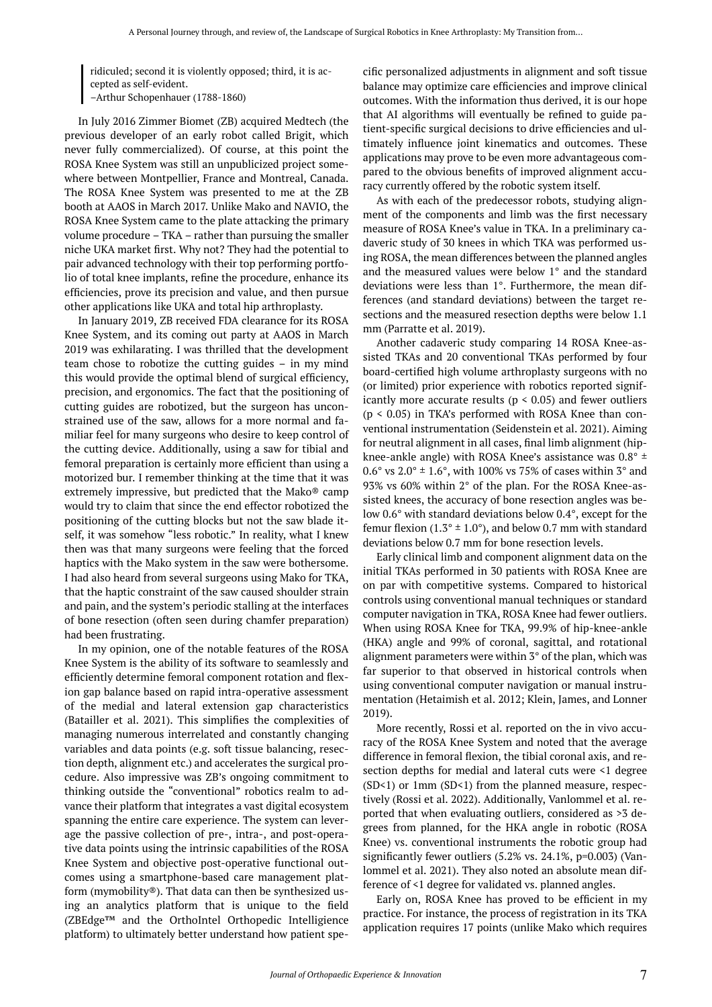ridiculed; second it is violently opposed; third, it is accepted as self-evident. –Arthur Schopenhauer (1788-1860)

In July 2016 Zimmer Biomet (ZB) acquired Medtech (the previous developer of an early robot called Brigit, which never fully commercialized). Of course, at this point the ROSA Knee System was still an unpublicized project somewhere between Montpellier, France and Montreal, Canada. The ROSA Knee System was presented to me at the ZB booth at AAOS in March 2017. Unlike Mako and NAVIO, the ROSA Knee System came to the plate attacking the primary volume procedure – TKA – rather than pursuing the smaller niche UKA market first. Why not? They had the potential to pair advanced technology with their top performing portfolio of total knee implants, refine the procedure, enhance its efficiencies, prove its precision and value, and then pursue other applications like UKA and total hip arthroplasty.

In January 2019, ZB received FDA clearance for its ROSA Knee System, and its coming out party at AAOS in March 2019 was exhilarating. I was thrilled that the development team chose to robotize the cutting guides – in my mind this would provide the optimal blend of surgical efficiency, precision, and ergonomics. The fact that the positioning of cutting guides are robotized, but the surgeon has unconstrained use of the saw, allows for a more normal and familiar feel for many surgeons who desire to keep control of the cutting device. Additionally, using a saw for tibial and femoral preparation is certainly more efficient than using a motorized bur. I remember thinking at the time that it was extremely impressive, but predicted that the Mako® camp would try to claim that since the end effector robotized the positioning of the cutting blocks but not the saw blade itself, it was somehow "less robotic." In reality, what I knew then was that many surgeons were feeling that the forced haptics with the Mako system in the saw were bothersome. I had also heard from several surgeons using Mako for TKA, that the haptic constraint of the saw caused shoulder strain and pain, and the system's periodic stalling at the interfaces of bone resection (often seen during chamfer preparation) had been frustrating.

In my opinion, one of the notable features of the ROSA Knee System is the ability of its software to seamlessly and efficiently determine femoral component rotation and flexion gap balance based on rapid intra-operative assessment of the medial and lateral extension gap characteristics (Batailler et al. 2021). This simplifies the complexities of managing numerous interrelated and constantly changing variables and data points (e.g. soft tissue balancing, resection depth, alignment etc.) and accelerates the surgical procedure. Also impressive was ZB's ongoing commitment to thinking outside the "conventional" robotics realm to advance their platform that integrates a vast digital ecosystem spanning the entire care experience. The system can leverage the passive collection of pre-, intra-, and post-operative data points using the intrinsic capabilities of the ROSA Knee System and objective post-operative functional outcomes using a smartphone-based care management platform (mymobility®). That data can then be synthesized using an analytics platform that is unique to the field (ZBEdge™ and the OrthoIntel Orthopedic Intelligience platform) to ultimately better understand how patient specific personalized adjustments in alignment and soft tissue balance may optimize care efficiencies and improve clinical outcomes. With the information thus derived, it is our hope that AI algorithms will eventually be refined to guide patient-specific surgical decisions to drive efficiencies and ultimately influence joint kinematics and outcomes. These applications may prove to be even more advantageous compared to the obvious benefits of improved alignment accuracy currently offered by the robotic system itself.

As with each of the predecessor robots, studying alignment of the components and limb was the first necessary measure of ROSA Knee's value in TKA. In a preliminary cadaveric study of 30 knees in which TKA was performed using ROSA, the mean differences between the planned angles and the measured values were below 1° and the standard deviations were less than 1°. Furthermore, the mean differences (and standard deviations) between the target resections and the measured resection depths were below 1.1 mm (Parratte et al. 2019).

Another cadaveric study comparing 14 ROSA Knee-assisted TKAs and 20 conventional TKAs performed by four board-certified high volume arthroplasty surgeons with no (or limited) prior experience with robotics reported significantly more accurate results ( $p < 0.05$ ) and fewer outliers  $(p < 0.05)$  in TKA's performed with ROSA Knee than conventional instrumentation (Seidenstein et al. 2021). Aiming for neutral alignment in all cases, final limb alignment (hipknee-ankle angle) with ROSA Knee's assistance was  $0.8^{\circ}$  ±  $0.6^{\circ}$  vs  $2.0^{\circ}$  ±  $1.6^{\circ}$ , with 100% vs 75% of cases within 3 $^{\circ}$  and 93% vs 60% within 2° of the plan. For the ROSA Knee-assisted knees, the accuracy of bone resection angles was below 0.6° with standard deviations below 0.4°, except for the femur flexion (1.3°  $\pm$  1.0°), and below 0.7 mm with standard deviations below 0.7 mm for bone resection levels.

Early clinical limb and component alignment data on the initial TKAs performed in 30 patients with ROSA Knee are on par with competitive systems. Compared to historical controls using conventional manual techniques or standard computer navigation in TKA, ROSA Knee had fewer outliers. When using ROSA Knee for TKA, 99.9% of hip-knee-ankle (HKA) angle and 99% of coronal, sagittal, and rotational alignment parameters were within 3° of the plan, which was far superior to that observed in historical controls when using conventional computer navigation or manual instrumentation (Hetaimish et al. 2012; Klein, James, and Lonner 2019).

More recently, Rossi et al. reported on the in vivo accuracy of the ROSA Knee System and noted that the average difference in femoral flexion, the tibial coronal axis, and resection depths for medial and lateral cuts were <1 degree  $(SD<1)$  or 1mm  $(SD<1)$  from the planned measure, respectively (Rossi et al. 2022). Additionally, Vanlommel et al. reported that when evaluating outliers, considered as >3 degrees from planned, for the HKA angle in robotic (ROSA Knee) vs. conventional instruments the robotic group had significantly fewer outliers (5.2% vs. 24.1%, p=0.003) (Vanlommel et al. 2021). They also noted an absolute mean difference of <1 degree for validated vs. planned angles.

Early on, ROSA Knee has proved to be efficient in my practice. For instance, the process of registration in its TKA application requires 17 points (unlike Mako which requires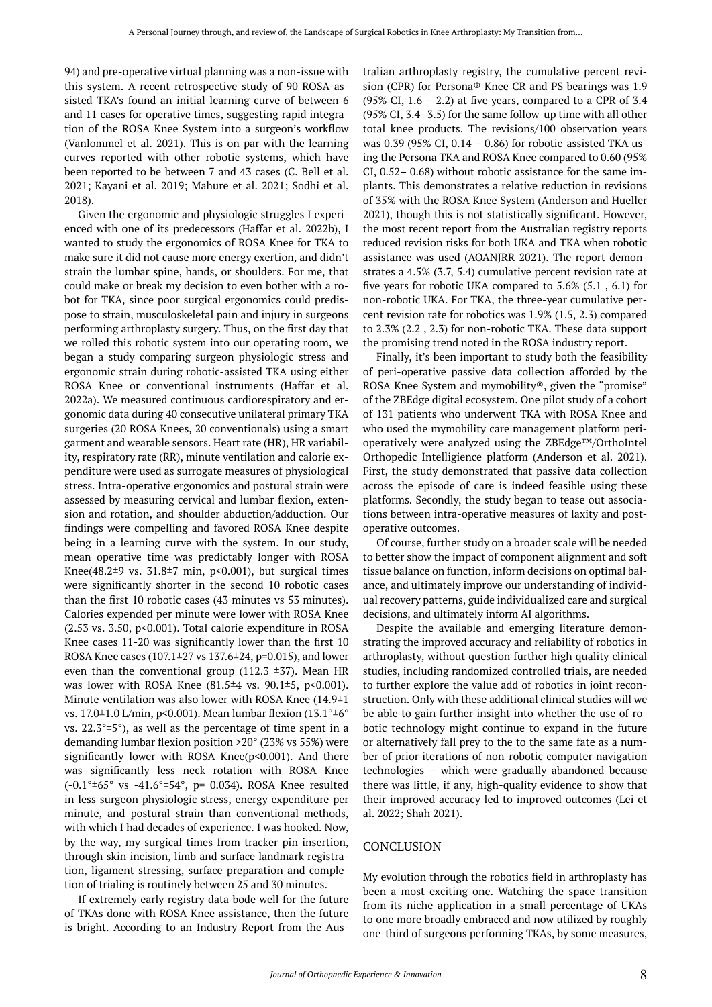94) and pre-operative virtual planning was a non-issue with this system. A recent retrospective study of 90 ROSA-assisted TKA's found an initial learning curve of between 6 and 11 cases for operative times, suggesting rapid integration of the ROSA Knee System into a surgeon's workflow (Vanlommel et al. 2021). This is on par with the learning curves reported with other robotic systems, which have been reported to be between 7 and 43 cases (C. Bell et al. 2021; Kayani et al. 2019; Mahure et al. 2021; Sodhi et al. 2018).

Given the ergonomic and physiologic struggles I experienced with one of its predecessors (Haffar et al. 2022b), I wanted to study the ergonomics of ROSA Knee for TKA to make sure it did not cause more energy exertion, and didn't strain the lumbar spine, hands, or shoulders. For me, that could make or break my decision to even bother with a robot for TKA, since poor surgical ergonomics could predispose to strain, musculoskeletal pain and injury in surgeons performing arthroplasty surgery. Thus, on the first day that we rolled this robotic system into our operating room, we began a study comparing surgeon physiologic stress and ergonomic strain during robotic-assisted TKA using either ROSA Knee or conventional instruments (Haffar et al. 2022a). We measured continuous cardiorespiratory and ergonomic data during 40 consecutive unilateral primary TKA surgeries (20 ROSA Knees, 20 conventionals) using a smart garment and wearable sensors. Heart rate (HR), HR variability, respiratory rate (RR), minute ventilation and calorie expenditure were used as surrogate measures of physiological stress. Intra-operative ergonomics and postural strain were assessed by measuring cervical and lumbar flexion, extension and rotation, and shoulder abduction/adduction. Our findings were compelling and favored ROSA Knee despite being in a learning curve with the system. In our study, mean operative time was predictably longer with ROSA Knee(48.2 $\pm$ 9 vs. 31.8 $\pm$ 7 min, p<0.001), but surgical times were significantly shorter in the second 10 robotic cases than the first 10 robotic cases (43 minutes vs 53 minutes). Calories expended per minute were lower with ROSA Knee  $(2.53 \text{ vs. } 3.50, \text{ p} < 0.001)$ . Total calorie expenditure in ROSA Knee cases 11-20 was significantly lower than the first 10 ROSA Knee cases (107.1 $\pm$ 27 vs 137.6 $\pm$ 24, p=0.015), and lower even than the conventional group (112.3  $\pm$ 37). Mean HR was lower with ROSA Knee (81.5<sup>±4</sup> vs. 90.1<sup>±5</sup>, p<0.001). Minute ventilation was also lower with ROSA Knee (14.9±1 vs. 17.0±1.0 L/min, p<0.001). Mean lumbar flexion (13.1°±6° vs.  $22.3^{\circ} \pm 5^{\circ}$ ), as well as the percentage of time spent in a demanding lumbar flexion position >20° (23% vs 55%) were significantly lower with ROSA Knee( $p$ <0.001). And there was significantly less neck rotation with ROSA Knee (-0.1°±65° vs -41.6°±54°, p= 0.034). ROSA Knee resulted in less surgeon physiologic stress, energy expenditure per minute, and postural strain than conventional methods, with which I had decades of experience. I was hooked. Now, by the way, my surgical times from tracker pin insertion, through skin incision, limb and surface landmark registration, ligament stressing, surface preparation and completion of trialing is routinely between 25 and 30 minutes.

If extremely early registry data bode well for the future of TKAs done with ROSA Knee assistance, then the future is bright. According to an Industry Report from the Australian arthroplasty registry, the cumulative percent revision (CPR) for Persona® Knee CR and PS bearings was 1.9 (95% CI,  $1.6 - 2.2$ ) at five years, compared to a CPR of  $3.4$ (95% CI, 3.4- 3.5) for the same follow-up time with all other total knee products. The revisions/100 observation years was 0.39 (95% CI, 0.14 – 0.86) for robotic-assisted TKA using the Persona TKA and ROSA Knee compared to 0.60 (95% CI, 0.52– 0.68) without robotic assistance for the same implants. This demonstrates a relative reduction in revisions of 35% with the ROSA Knee System (Anderson and Hueller 2021), though this is not statistically significant. However, the most recent report from the Australian registry reports reduced revision risks for both UKA and TKA when robotic assistance was used (AOANJRR 2021). The report demonstrates a 4.5% (3.7, 5.4) cumulative percent revision rate at five years for robotic UKA compared to 5.6% (5.1 , 6.1) for non-robotic UKA. For TKA, the three-year cumulative percent revision rate for robotics was 1.9% (1.5, 2.3) compared to 2.3% (2.2 , 2.3) for non-robotic TKA. These data support the promising trend noted in the ROSA industry report.

Finally, it's been important to study both the feasibility of peri-operative passive data collection afforded by the ROSA Knee System and mymobility®, given the "promise" of the ZBEdge digital ecosystem. One pilot study of a cohort of 131 patients who underwent TKA with ROSA Knee and who used the mymobility care management platform perioperatively were analyzed using the ZBEdge™/OrthoIntel Orthopedic Intelligience platform (Anderson et al. 2021). First, the study demonstrated that passive data collection across the episode of care is indeed feasible using these platforms. Secondly, the study began to tease out associations between intra-operative measures of laxity and postoperative outcomes.

Of course, further study on a broader scale will be needed to better show the impact of component alignment and soft tissue balance on function, inform decisions on optimal balance, and ultimately improve our understanding of individual recovery patterns, guide individualized care and surgical decisions, and ultimately inform AI algorithms.

Despite the available and emerging literature demonstrating the improved accuracy and reliability of robotics in arthroplasty, without question further high quality clinical studies, including randomized controlled trials, are needed to further explore the value add of robotics in joint reconstruction. Only with these additional clinical studies will we be able to gain further insight into whether the use of robotic technology might continue to expand in the future or alternatively fall prey to the to the same fate as a number of prior iterations of non-robotic computer navigation technologies – which were gradually abandoned because there was little, if any, high-quality evidence to show that their improved accuracy led to improved outcomes (Lei et al. 2022; Shah 2021).

#### **CONCLUSION**

My evolution through the robotics field in arthroplasty has been a most exciting one. Watching the space transition from its niche application in a small percentage of UKAs to one more broadly embraced and now utilized by roughly one-third of surgeons performing TKAs, by some measures,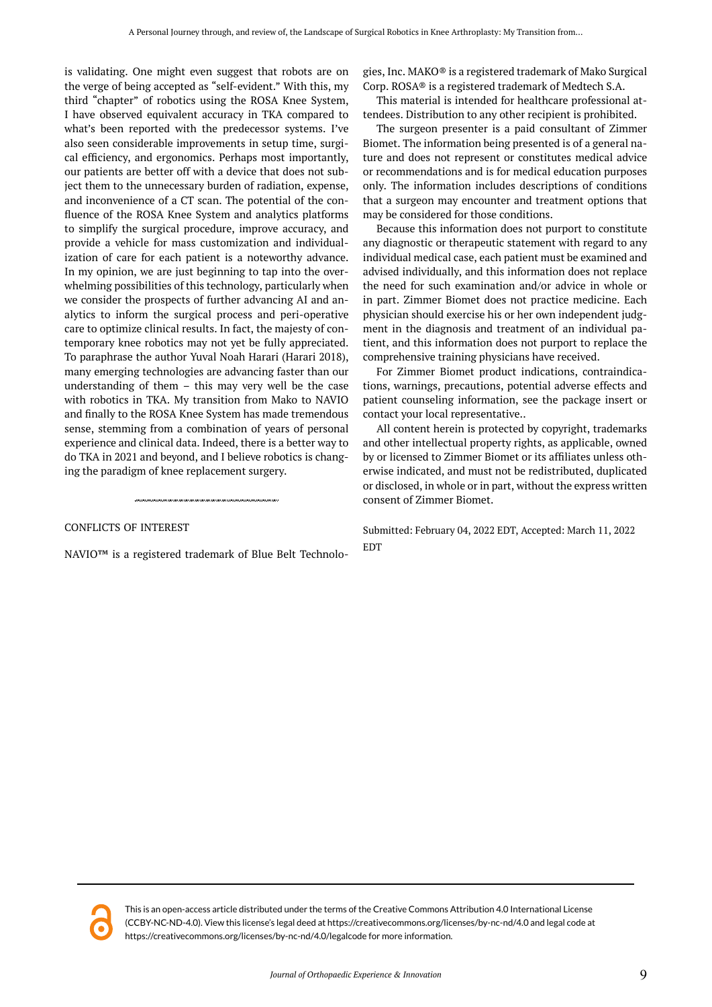is validating. One might even suggest that robots are on the verge of being accepted as "self-evident." With this, my third "chapter" of robotics using the ROSA Knee System, I have observed equivalent accuracy in TKA compared to what's been reported with the predecessor systems. I've also seen considerable improvements in setup time, surgical efficiency, and ergonomics. Perhaps most importantly, our patients are better off with a device that does not subject them to the unnecessary burden of radiation, expense, and inconvenience of a CT scan. The potential of the confluence of the ROSA Knee System and analytics platforms to simplify the surgical procedure, improve accuracy, and provide a vehicle for mass customization and individualization of care for each patient is a noteworthy advance. In my opinion, we are just beginning to tap into the overwhelming possibilities of this technology, particularly when we consider the prospects of further advancing AI and analytics to inform the surgical process and peri-operative care to optimize clinical results. In fact, the majesty of contemporary knee robotics may not yet be fully appreciated. To paraphrase the author Yuval Noah Harari (Harari 2018), many emerging technologies are advancing faster than our understanding of them – this may very well be the case with robotics in TKA. My transition from Mako to NAVIO and finally to the ROSA Knee System has made tremendous sense, stemming from a combination of years of personal experience and clinical data. Indeed, there is a better way to do TKA in 2021 and beyond, and I believe robotics is changing the paradigm of knee replacement surgery.

#### CONFLICTS OF INTEREST

NAVIO™ is a registered trademark of Blue Belt Technolo-

gies, Inc. MAKO® is a registered trademark of Mako Surgical Corp. ROSA® is a registered trademark of Medtech S.A.

This material is intended for healthcare professional attendees. Distribution to any other recipient is prohibited.

The surgeon presenter is a paid consultant of Zimmer Biomet. The information being presented is of a general nature and does not represent or constitutes medical advice or recommendations and is for medical education purposes only. The information includes descriptions of conditions that a surgeon may encounter and treatment options that may be considered for those conditions.

Because this information does not purport to constitute any diagnostic or therapeutic statement with regard to any individual medical case, each patient must be examined and advised individually, and this information does not replace the need for such examination and/or advice in whole or in part. Zimmer Biomet does not practice medicine. Each physician should exercise his or her own independent judgment in the diagnosis and treatment of an individual patient, and this information does not purport to replace the comprehensive training physicians have received.

For Zimmer Biomet product indications, contraindications, warnings, precautions, potential adverse effects and patient counseling information, see the package insert or contact your local representative..

All content herein is protected by copyright, trademarks and other intellectual property rights, as applicable, owned by or licensed to Zimmer Biomet or its affiliates unless otherwise indicated, and must not be redistributed, duplicated or disclosed, in whole or in part, without the express written consent of Zimmer Biomet.

Submitted: February 04, 2022 EDT, Accepted: March 11, 2022 **EDT** 

This is an open-access article distributed under the terms of the Creative Commons Attribution 4.0 International License (CCBY-NC-ND-4.0). View this license's legal deed at https://creativecommons.org/licenses/by-nc-nd/4.0 and legal code at https://creativecommons.org/licenses/by-nc-nd/4.0/legalcode for more information.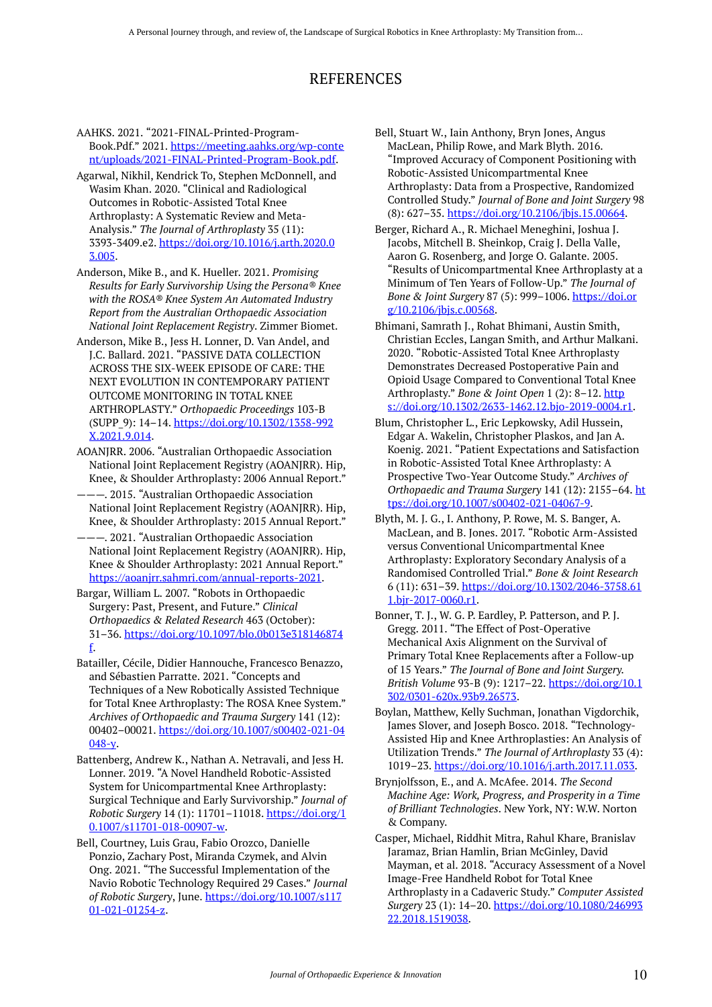# REFERENCES

AAHKS. 2021. "2021-FINAL-Printed-Program-Book.Pdf." 2021. [https://meeting.aahks.org/wp-conte](https://meeting.aahks.org/wp-content/uploads/2021-FINAL-Printed-Program-Book.pdf) [nt/uploads/2021-FINAL-Printed-Program-Book.pdf.](https://meeting.aahks.org/wp-content/uploads/2021-FINAL-Printed-Program-Book.pdf)

Agarwal, Nikhil, Kendrick To, Stephen McDonnell, and Wasim Khan. 2020. "Clinical and Radiological Outcomes in Robotic-Assisted Total Knee Arthroplasty: A Systematic Review and Meta-Analysis." *The Journal of Arthroplasty* 35 (11): 3393-3409.e2. [https://doi.org/10.1016/j.arth.2020.0](https://doi.org/10.1016/j.arth.2020.03.005) [3.005](https://doi.org/10.1016/j.arth.2020.03.005).

Anderson, Mike B., and K. Hueller. 2021. *Promising Results for Early Survivorship Using the Persona® Knee with the ROSA® Knee System An Automated Industry Report from the Australian Orthopaedic Association National Joint Replacement Registry*. Zimmer Biomet.

Anderson, Mike B., Jess H. Lonner, D. Van Andel, and J.C. Ballard. 2021. "PASSIVE DATA COLLECTION ACROSS THE SIX-WEEK EPISODE OF CARE: THE NEXT EVOLUTION IN CONTEMPORARY PATIENT OUTCOME MONITORING IN TOTAL KNEE ARTHROPLASTY." *Orthopaedic Proceedings* 103-B (SUPP\_9): 14–14. [https://doi.org/10.1302/1358-992](https://doi.org/10.1302/1358-992X.2021.9.014) [X.2021.9.014](https://doi.org/10.1302/1358-992X.2021.9.014).

AOANJRR. 2006. "Australian Orthopaedic Association National Joint Replacement Registry (AOANJRR). Hip, Knee, & Shoulder Arthroplasty: 2006 Annual Report."

-. 2015. "Australian Orthopaedic Association National Joint Replacement Registry (AOANJRR). Hip, Knee, & Shoulder Arthroplasty: 2015 Annual Report."

———. 2021. "Australian Orthopaedic Association National Joint Replacement Registry (AOANJRR). Hip, Knee & Shoulder Arthroplasty: 2021 Annual Report." [https://aoanjrr.sahmri.com/annual-reports-2021.](https://aoanjrr.sahmri.com/annual-reports-2021)

Bargar, William L. 2007. "Robots in Orthopaedic Surgery: Past, Present, and Future." *Clinical Orthopaedics & Related Research* 463 (October): 31–36. [https://doi.org/10.1097/blo.0b013e318146874](https://doi.org/10.1097/blo.0b013e318146874f) [f.](https://doi.org/10.1097/blo.0b013e318146874f)

Batailler, Cécile, Didier Hannouche, Francesco Benazzo, and Sébastien Parratte. 2021. "Concepts and Techniques of a New Robotically Assisted Technique for Total Knee Arthroplasty: The ROSA Knee System." *Archives of Orthopaedic and Trauma Surgery* 141 (12): 00402–00021. [https://doi.org/10.1007/s00402-021-04](https://doi.org/10.1007/s00402-021-04048-y)  $048 - v$ 

Battenberg, Andrew K., Nathan A. Netravali, and Jess H. Lonner. 2019. "A Novel Handheld Robotic-Assisted System for Unicompartmental Knee Arthroplasty: Surgical Technique and Early Survivorship." *Journal of Robotic Surgery* 14 (1): 11701–11018. [https://doi.org/1](https://doi.org/10.1007/s11701-018-00907-w) [0.1007/s11701-018-00907-w.](https://doi.org/10.1007/s11701-018-00907-w)

Bell, Courtney, Luis Grau, Fabio Orozco, Danielle Ponzio, Zachary Post, Miranda Czymek, and Alvin Ong. 2021. "The Successful Implementation of the Navio Robotic Technology Required 29 Cases." *Journal of Robotic Surgery*, June. [https://doi.org/10.1007/s117](https://doi.org/10.1007/s11701-021-01254-z) [01-021-01254-z](https://doi.org/10.1007/s11701-021-01254-z).

Bell, Stuart W., Iain Anthony, Bryn Jones, Angus MacLean, Philip Rowe, and Mark Blyth. 2016. "Improved Accuracy of Component Positioning with Robotic-Assisted Unicompartmental Knee Arthroplasty: Data from a Prospective, Randomized Controlled Study." *Journal of Bone and Joint Surgery* 98 (8): 627–35. [https://doi.org/10.2106/jbjs.15.00664.](https://doi.org/10.2106/jbjs.15.00664)

Berger, Richard A., R. Michael Meneghini, Joshua J. Jacobs, Mitchell B. Sheinkop, Craig J. Della Valle, Aaron G. Rosenberg, and Jorge O. Galante. 2005. "Results of Unicompartmental Knee Arthroplasty at a Minimum of Ten Years of Follow-Up." *The Journal of Bone & Joint Surgery* 87 (5): 999–1006. [https://doi.or](https://doi.org/10.2106/jbjs.c.00568) [g/10.2106/jbjs.c.00568.](https://doi.org/10.2106/jbjs.c.00568)

Bhimani, Samrath J., Rohat Bhimani, Austin Smith, Christian Eccles, Langan Smith, and Arthur Malkani. 2020. "Robotic-Assisted Total Knee Arthroplasty Demonstrates Decreased Postoperative Pain and Opioid Usage Compared to Conventional Total Knee Arthroplasty." *Bone & Joint Open* 1 (2): 8–12. [http](https://doi.org/10.1302/2633-1462.12.bjo-2019-0004.r1) [s://doi.org/10.1302/2633-1462.12.bjo-2019-0004.r1](https://doi.org/10.1302/2633-1462.12.bjo-2019-0004.r1).

Blum, Christopher L., Eric Lepkowsky, Adil Hussein, Edgar A. Wakelin, Christopher Plaskos, and Jan A. Koenig. 2021. "Patient Expectations and Satisfaction in Robotic-Assisted Total Knee Arthroplasty: A Prospective Two-Year Outcome Study." *Archives of Orthopaedic and Trauma Surgery* 141 (12): 2155–64. [ht](https://doi.org/10.1007/s00402-021-04067-9) [tps://doi.org/10.1007/s00402-021-04067-9.](https://doi.org/10.1007/s00402-021-04067-9)

Blyth, M. J. G., I. Anthony, P. Rowe, M. S. Banger, A. MacLean, and B. Jones. 2017. "Robotic Arm-Assisted versus Conventional Unicompartmental Knee Arthroplasty: Exploratory Secondary Analysis of a Randomised Controlled Trial." *Bone & Joint Research*  6 (11): 631–39. [https://doi.org/10.1302/2046-3758.61](https://doi.org/10.1302/2046-3758.611.bjr-2017-0060.r1) [1.bjr-2017-0060.r1](https://doi.org/10.1302/2046-3758.611.bjr-2017-0060.r1).

Bonner, T. J., W. G. P. Eardley, P. Patterson, and P. J. Gregg. 2011. "The Effect of Post-Operative Mechanical Axis Alignment on the Survival of Primary Total Knee Replacements after a Follow-up of 15 Years." *The Journal of Bone and Joint Surgery. British Volume* 93-B (9): 1217–22. [https://doi.org/10.1](https://doi.org/10.1302/0301-620x.93b9.26573) [302/0301-620x.93b9.26573](https://doi.org/10.1302/0301-620x.93b9.26573).

Boylan, Matthew, Kelly Suchman, Jonathan Vigdorchik, James Slover, and Joseph Bosco. 2018. "Technology-Assisted Hip and Knee Arthroplasties: An Analysis of Utilization Trends." *The Journal of Arthroplasty* 33 (4): 1019–23. [https://doi.org/10.1016/j.arth.2017.11.033.](https://doi.org/10.1016/j.arth.2017.11.033)

Brynjolfsson, E., and A. McAfee. 2014. *The Second Machine Age: Work, Progress, and Prosperity in a Time of Brilliant Technologies*. New York, NY: W.W. Norton & Company.

Casper, Michael, Riddhit Mitra, Rahul Khare, Branislav Jaramaz, Brian Hamlin, Brian McGinley, David Mayman, et al. 2018. "Accuracy Assessment of a Novel Image-Free Handheld Robot for Total Knee Arthroplasty in a Cadaveric Study." *Computer Assisted Surgery* 23 (1): 14–20. [https://doi.org/10.1080/246993](https://doi.org/10.1080/24699322.2018.1519038) [22.2018.1519038.](https://doi.org/10.1080/24699322.2018.1519038)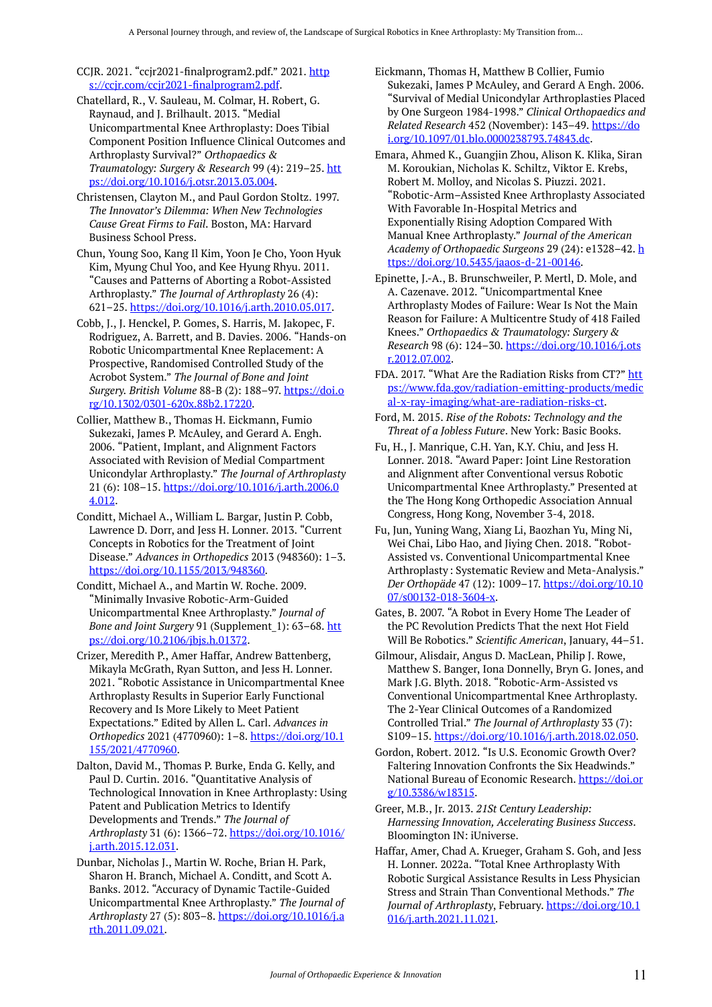CCJR. 2021. "ccjr2021-finalprogram2.pdf." 2021. [http](https://ccjr.com/ccjr2021-finalprogram2.pdf) [s://ccjr.com/ccjr2021-finalprogram2.pdf.](https://ccjr.com/ccjr2021-finalprogram2.pdf)

- Chatellard, R., V. Sauleau, M. Colmar, H. Robert, G. Raynaud, and J. Brilhault. 2013. "Medial Unicompartmental Knee Arthroplasty: Does Tibial Component Position Influence Clinical Outcomes and Arthroplasty Survival?" *Orthopaedics & Traumatology: Surgery & Research* 99 (4): 219–25. [htt](https://doi.org/10.1016/j.otsr.2013.03.004) [ps://doi.org/10.1016/j.otsr.2013.03.004.](https://doi.org/10.1016/j.otsr.2013.03.004)
- Christensen, Clayton M., and Paul Gordon Stoltz. 1997. *The Innovator's Dilemma: When New Technologies Cause Great Firms to Fail*. Boston, MA: Harvard Business School Press.
- Chun, Young Soo, Kang Il Kim, Yoon Je Cho, Yoon Hyuk Kim, Myung Chul Yoo, and Kee Hyung Rhyu. 2011. "Causes and Patterns of Aborting a Robot-Assisted Arthroplasty." *The Journal of Arthroplasty* 26 (4): 621–25. <https://doi.org/10.1016/j.arth.2010.05.017>.
- Cobb, J., J. Henckel, P. Gomes, S. Harris, M. Jakopec, F. Rodriguez, A. Barrett, and B. Davies. 2006. "Hands-on Robotic Unicompartmental Knee Replacement: A Prospective, Randomised Controlled Study of the Acrobot System." *The Journal of Bone and Joint Surgery. British Volume* 88-B (2): 188–97. [https://doi.o](https://doi.org/10.1302/0301-620x.88b2.17220) [rg/10.1302/0301-620x.88b2.17220.](https://doi.org/10.1302/0301-620x.88b2.17220)
- Collier, Matthew B., Thomas H. Eickmann, Fumio Sukezaki, James P. McAuley, and Gerard A. Engh. 2006. "Patient, Implant, and Alignment Factors Associated with Revision of Medial Compartment Unicondylar Arthroplasty." *The Journal of Arthroplasty*  21 (6): 108–15. [https://doi.org/10.1016/j.arth.2006.0](https://doi.org/10.1016/j.arth.2006.04.012) [4.012](https://doi.org/10.1016/j.arth.2006.04.012).
- Conditt, Michael A., William L. Bargar, Justin P. Cobb, Lawrence D. Dorr, and Jess H. Lonner. 2013. "Current Concepts in Robotics for the Treatment of Joint Disease." *Advances in Orthopedics* 2013 (948360): 1–3. [https://doi.org/10.1155/2013/948360.](https://doi.org/10.1155/2013/948360)
- Conditt, Michael A., and Martin W. Roche. 2009. "Minimally Invasive Robotic-Arm-Guided Unicompartmental Knee Arthroplasty." *Journal of Bone and Joint Surgery* 91 (Supplement\_1): 63-68. [htt](https://doi.org/10.2106/jbjs.h.01372) [ps://doi.org/10.2106/jbjs.h.01372.](https://doi.org/10.2106/jbjs.h.01372)
- Crizer, Meredith P., Amer Haffar, Andrew Battenberg, Mikayla McGrath, Ryan Sutton, and Jess H. Lonner. 2021. "Robotic Assistance in Unicompartmental Knee Arthroplasty Results in Superior Early Functional Recovery and Is More Likely to Meet Patient Expectations." Edited by Allen L. Carl. *Advances in Orthopedics* 2021 (4770960): 1–8. [https://doi.org/10.1](https://doi.org/10.1155/2021/4770960) [155/2021/4770960.](https://doi.org/10.1155/2021/4770960)
- Dalton, David M., Thomas P. Burke, Enda G. Kelly, and Paul D. Curtin. 2016. "Quantitative Analysis of Technological Innovation in Knee Arthroplasty: Using Patent and Publication Metrics to Identify Developments and Trends." *The Journal of Arthroplasty* 31 (6): 1366–72. [https://doi.org/10.1016/](https://doi.org/10.1016/j.arth.2015.12.031) [j.arth.2015.12.031.](https://doi.org/10.1016/j.arth.2015.12.031)
- Dunbar, Nicholas J., Martin W. Roche, Brian H. Park, Sharon H. Branch, Michael A. Conditt, and Scott A. Banks. 2012. "Accuracy of Dynamic Tactile-Guided Unicompartmental Knee Arthroplasty." *The Journal of Arthroplasty* 27 (5): 803–8. [https://doi.org/10.1016/j.a](https://doi.org/10.1016/j.arth.2011.09.021) [rth.2011.09.021](https://doi.org/10.1016/j.arth.2011.09.021).
- Eickmann, Thomas H, Matthew B Collier, Fumio Sukezaki, James P McAuley, and Gerard A Engh. 2006. "Survival of Medial Unicondylar Arthroplasties Placed by One Surgeon 1984-1998." *Clinical Orthopaedics and Related Research* 452 (November): 143–49. [https://do](https://doi.org/10.1097/01.blo.0000238793.74843.dc) [i.org/10.1097/01.blo.0000238793.74843.dc](https://doi.org/10.1097/01.blo.0000238793.74843.dc).
- Emara, Ahmed K., Guangjin Zhou, Alison K. Klika, Siran M. Koroukian, Nicholas K. Schiltz, Viktor E. Krebs, Robert M. Molloy, and Nicolas S. Piuzzi. 2021. "Robotic-Arm–Assisted Knee Arthroplasty Associated With Favorable In-Hospital Metrics and Exponentially Rising Adoption Compared With Manual Knee Arthroplasty." *Journal of the American Academy of Orthopaedic Surgeons* 29 (24): e1328–42. [h](https://doi.org/10.5435/jaaos-d-21-00146) [ttps://doi.org/10.5435/jaaos-d-21-00146](https://doi.org/10.5435/jaaos-d-21-00146).
- Epinette, J.-A., B. Brunschweiler, P. Mertl, D. Mole, and A. Cazenave. 2012. "Unicompartmental Knee Arthroplasty Modes of Failure: Wear Is Not the Main Reason for Failure: A Multicentre Study of 418 Failed Knees." *Orthopaedics & Traumatology: Surgery & Research* 98 (6): 124–30. [https://doi.org/10.1016/j.ots](https://doi.org/10.1016/j.otsr.2012.07.002) [r.2012.07.002](https://doi.org/10.1016/j.otsr.2012.07.002).
- FDA. 2017. "What Are the Radiation Risks from CT?" [htt](https://www.fda.gov/radiation-emitting-products/medical-x-ray-imaging/what-are-radiation-risks-ct) [ps://www.fda.gov/radiation-emitting-products/medic](https://www.fda.gov/radiation-emitting-products/medical-x-ray-imaging/what-are-radiation-risks-ct) [al-x-ray-imaging/what-are-radiation-risks-ct](https://www.fda.gov/radiation-emitting-products/medical-x-ray-imaging/what-are-radiation-risks-ct).
- Ford, M. 2015. *Rise of the Robots: Technology and the Threat of a Jobless Future*. New York: Basic Books.
- Fu, H., J. Manrique, C.H. Yan, K.Y. Chiu, and Jess H. Lonner. 2018. "Award Paper: Joint Line Restoration and Alignment after Conventional versus Robotic Unicompartmental Knee Arthroplasty." Presented at the The Hong Kong Orthopedic Association Annual Congress, Hong Kong, November 3-4, 2018.
- Fu, Jun, Yuning Wang, Xiang Li, Baozhan Yu, Ming Ni, Wei Chai, Libo Hao, and Jiying Chen. 2018. "Robot-Assisted vs. Conventional Unicompartmental Knee Arthroplasty: Systematic Review and Meta-Analysis." *Der Orthopäde* 47 (12): 1009–17. [https://doi.org/10.10](https://doi.org/10.1007/s00132-018-3604-x) [07/s00132-018-3604-x](https://doi.org/10.1007/s00132-018-3604-x).
- Gates, B. 2007. "A Robot in Every Home The Leader of the PC Revolution Predicts That the next Hot Field Will Be Robotics." *Scientific American*, January, 44–51.
- Gilmour, Alisdair, Angus D. MacLean, Philip J. Rowe, Matthew S. Banger, Iona Donnelly, Bryn G. Jones, and Mark J.G. Blyth. 2018. "Robotic-Arm-Assisted vs Conventional Unicompartmental Knee Arthroplasty. The 2-Year Clinical Outcomes of a Randomized Controlled Trial." *The Journal of Arthroplasty* 33 (7): S109–15. [https://doi.org/10.1016/j.arth.2018.02.050.](https://doi.org/10.1016/j.arth.2018.02.050)
- Gordon, Robert. 2012. "Is U.S. Economic Growth Over? Faltering Innovation Confronts the Six Headwinds." National Bureau of Economic Research. [https://doi.or](https://doi.org/10.3386/w18315) [g/10.3386/w18315.](https://doi.org/10.3386/w18315)
- Greer, M.B., Jr. 2013. *21St Century Leadership: Harnessing Innovation, Accelerating Business Success*. Bloomington IN: iUniverse.
- Haffar, Amer, Chad A. Krueger, Graham S. Goh, and Jess H. Lonner. 2022a. "Total Knee Arthroplasty With Robotic Surgical Assistance Results in Less Physician Stress and Strain Than Conventional Methods." *The Journal of Arthroplasty*, February. [https://doi.org/10.1](https://doi.org/10.1016/j.arth.2021.11.021) [016/j.arth.2021.11.021](https://doi.org/10.1016/j.arth.2021.11.021).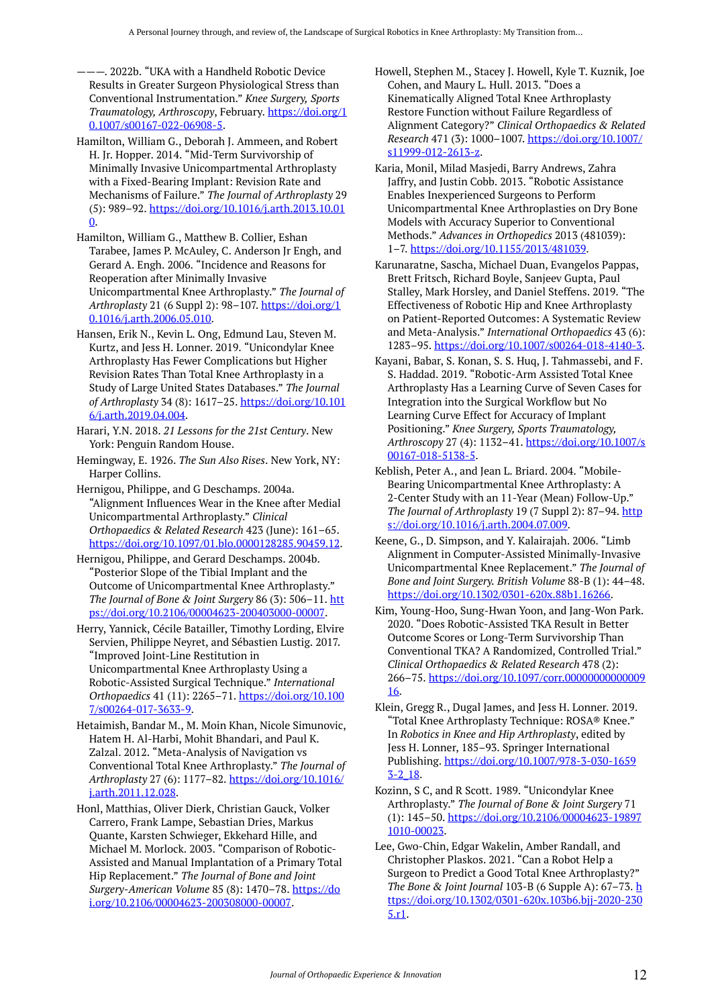———. 2022b. "UKA with a Handheld Robotic Device Results in Greater Surgeon Physiological Stress than Conventional Instrumentation." *Knee Surgery, Sports Traumatology, Arthroscopy*, February. [https://doi.org/1](https://doi.org/10.1007/s00167-022-06908-5) [0.1007/s00167-022-06908-5](https://doi.org/10.1007/s00167-022-06908-5).

Hamilton, William G., Deborah J. Ammeen, and Robert H. Jr. Hopper. 2014. "Mid-Term Survivorship of Minimally Invasive Unicompartmental Arthroplasty with a Fixed-Bearing Implant: Revision Rate and Mechanisms of Failure." *The Journal of Arthroplasty* 29 (5): 989–92. [https://doi.org/10.1016/j.arth.2013.10.01](https://doi.org/10.1016/j.arth.2013.10.010) [0](https://doi.org/10.1016/j.arth.2013.10.010).

Hamilton, William G., Matthew B. Collier, Eshan Tarabee, James P. McAuley, C. Anderson Jr Engh, and Gerard A. Engh. 2006. "Incidence and Reasons for Reoperation after Minimally Invasive Unicompartmental Knee Arthroplasty." *The Journal of Arthroplasty* 21 (6 Suppl 2): 98–107. [https://doi.org/1](https://doi.org/10.1016/j.arth.2006.05.010) [0.1016/j.arth.2006.05.010.](https://doi.org/10.1016/j.arth.2006.05.010)

Hansen, Erik N., Kevin L. Ong, Edmund Lau, Steven M. Kurtz, and Jess H. Lonner. 2019. "Unicondylar Knee Arthroplasty Has Fewer Complications but Higher Revision Rates Than Total Knee Arthroplasty in a Study of Large United States Databases." *The Journal of Arthroplasty* 34 (8): 1617–25. [https://doi.org/10.101](https://doi.org/10.1016/j.arth.2019.04.004) [6/j.arth.2019.04.004.](https://doi.org/10.1016/j.arth.2019.04.004)

Harari, Y.N. 2018. *21 Lessons for the 21st Century*. New York: Penguin Random House.

Hemingway, E. 1926. *The Sun Also Rises*. New York, NY: Harper Collins.

Hernigou, Philippe, and G Deschamps. 2004a. "Alignment Influences Wear in the Knee after Medial Unicompartmental Arthroplasty." *Clinical Orthopaedics & Related Research* 423 (June): 161–65. <https://doi.org/10.1097/01.blo.0000128285.90459.12>.

Hernigou, Philippe, and Gerard Deschamps. 2004b. "Posterior Slope of the Tibial Implant and the Outcome of Unicompartmental Knee Arthroplasty." *The Journal of Bone & Joint Surgery* 86 (3): 506–11. [htt](https://doi.org/10.2106/00004623-200403000-00007) [ps://doi.org/10.2106/00004623-200403000-00007.](https://doi.org/10.2106/00004623-200403000-00007)

Herry, Yannick, Cécile Batailler, Timothy Lording, Elvire Servien, Philippe Neyret, and Sébastien Lustig. 2017. "Improved Joint-Line Restitution in Unicompartmental Knee Arthroplasty Using a Robotic-Assisted Surgical Technique." *International Orthopaedics* 41 (11): 2265–71. [https://doi.org/10.100](https://doi.org/10.1007/s00264-017-3633-9) [7/s00264-017-3633-9.](https://doi.org/10.1007/s00264-017-3633-9)

Hetaimish, Bandar M., M. Moin Khan, Nicole Simunovic, Hatem H. Al-Harbi, Mohit Bhandari, and Paul K. Zalzal. 2012. "Meta-Analysis of Navigation vs Conventional Total Knee Arthroplasty." *The Journal of Arthroplasty* 27 (6): 1177–82. [https://doi.org/10.1016/](https://doi.org/10.1016/j.arth.2011.12.028) [j.arth.2011.12.028.](https://doi.org/10.1016/j.arth.2011.12.028)

Honl, Matthias, Oliver Dierk, Christian Gauck, Volker Carrero, Frank Lampe, Sebastian Dries, Markus Quante, Karsten Schwieger, Ekkehard Hille, and Michael M. Morlock. 2003. "Comparison of Robotic-Assisted and Manual Implantation of a Primary Total Hip Replacement." *The Journal of Bone and Joint Surgery-American Volume* 85 (8): 1470–78. [https://do](https://doi.org/10.2106/00004623-200308000-00007) [i.org/10.2106/00004623-200308000-00007.](https://doi.org/10.2106/00004623-200308000-00007)

Howell, Stephen M., Stacey J. Howell, Kyle T. Kuznik, Joe Cohen, and Maury L. Hull. 2013. "Does a Kinematically Aligned Total Knee Arthroplasty Restore Function without Failure Regardless of Alignment Category?" *Clinical Orthopaedics & Related Research* 471 (3): 1000–1007. [https://doi.org/10.1007/](https://doi.org/10.1007/s11999-012-2613-z) [s11999-012-2613-z](https://doi.org/10.1007/s11999-012-2613-z).

Karia, Monil, Milad Masjedi, Barry Andrews, Zahra Jaffry, and Justin Cobb. 2013. "Robotic Assistance Enables Inexperienced Surgeons to Perform Unicompartmental Knee Arthroplasties on Dry Bone Models with Accuracy Superior to Conventional Methods." *Advances in Orthopedics* 2013 (481039): 1–7.<https://doi.org/10.1155/2013/481039>.

Karunaratne, Sascha, Michael Duan, Evangelos Pappas, Brett Fritsch, Richard Boyle, Sanjeev Gupta, Paul Stalley, Mark Horsley, and Daniel Steffens. 2019. "The Effectiveness of Robotic Hip and Knee Arthroplasty on Patient-Reported Outcomes: A Systematic Review and Meta-Analysis." *International Orthopaedics* 43 (6): 1283–95. [https://doi.org/10.1007/s00264-018-4140-3.](https://doi.org/10.1007/s00264-018-4140-3)

Kayani, Babar, S. Konan, S. S. Huq, J. Tahmassebi, and F. S. Haddad. 2019. "Robotic-Arm Assisted Total Knee Arthroplasty Has a Learning Curve of Seven Cases for Integration into the Surgical Workflow but No Learning Curve Effect for Accuracy of Implant Positioning." *Knee Surgery, Sports Traumatology, Arthroscopy* 27 (4): 1132–41. [https://doi.org/10.1007/s](https://doi.org/10.1007/s00167-018-5138-5) [00167-018-5138-5.](https://doi.org/10.1007/s00167-018-5138-5)

Keblish, Peter A., and Jean L. Briard. 2004. "Mobile-Bearing Unicompartmental Knee Arthroplasty: A 2-Center Study with an 11-Year (Mean) Follow-Up." *The Journal of Arthroplasty* 19 (7 Suppl 2): 87-94. [http](https://doi.org/10.1016/j.arth.2004.07.009) [s://doi.org/10.1016/j.arth.2004.07.009.](https://doi.org/10.1016/j.arth.2004.07.009)

Keene, G., D. Simpson, and Y. Kalairajah. 2006. "Limb Alignment in Computer-Assisted Minimally-Invasive Unicompartmental Knee Replacement." *The Journal of Bone and Joint Surgery. British Volume* 88-B (1): 44–48. <https://doi.org/10.1302/0301-620x.88b1.16266>.

Kim, Young-Hoo, Sung-Hwan Yoon, and Jang-Won Park. 2020. "Does Robotic-Assisted TKA Result in Better Outcome Scores or Long-Term Survivorship Than Conventional TKA? A Randomized, Controlled Trial." *Clinical Orthopaedics & Related Research* 478 (2): 266–75. [https://doi.org/10.1097/corr.00000000000009](https://doi.org/10.1097/corr.0000000000000916) [16.](https://doi.org/10.1097/corr.0000000000000916)

Klein, Gregg R., Dugal James, and Jess H. Lonner. 2019. "Total Knee Arthroplasty Technique: ROSA® Knee." In *Robotics in Knee and Hip Arthroplasty*, edited by Jess H. Lonner, 185–93. Springer International Publishing. [https://doi.org/10.1007/978-3-030-1659](https://doi.org/10.1007/978-3-030-16593-2_18) [3-2\\_18.](https://doi.org/10.1007/978-3-030-16593-2_18)

Kozinn, S C, and R Scott. 1989. "Unicondylar Knee Arthroplasty." *The Journal of Bone & Joint Surgery* 71 (1): 145–50. [https://doi.org/10.2106/00004623-19897](https://doi.org/10.2106/00004623-198971010-00023) [1010-00023](https://doi.org/10.2106/00004623-198971010-00023).

Lee, Gwo-Chin, Edgar Wakelin, Amber Randall, and Christopher Plaskos. 2021. "Can a Robot Help a Surgeon to Predict a Good Total Knee Arthroplasty?" *The Bone & Joint Journal* 103-B (6 Supple A): 67–73. [h](https://doi.org/10.1302/0301-620x.103b6.bjj-2020-2305.r1) [ttps://doi.org/10.1302/0301-620x.103b6.bjj-2020-230](https://doi.org/10.1302/0301-620x.103b6.bjj-2020-2305.r1) [5.r1.](https://doi.org/10.1302/0301-620x.103b6.bjj-2020-2305.r1)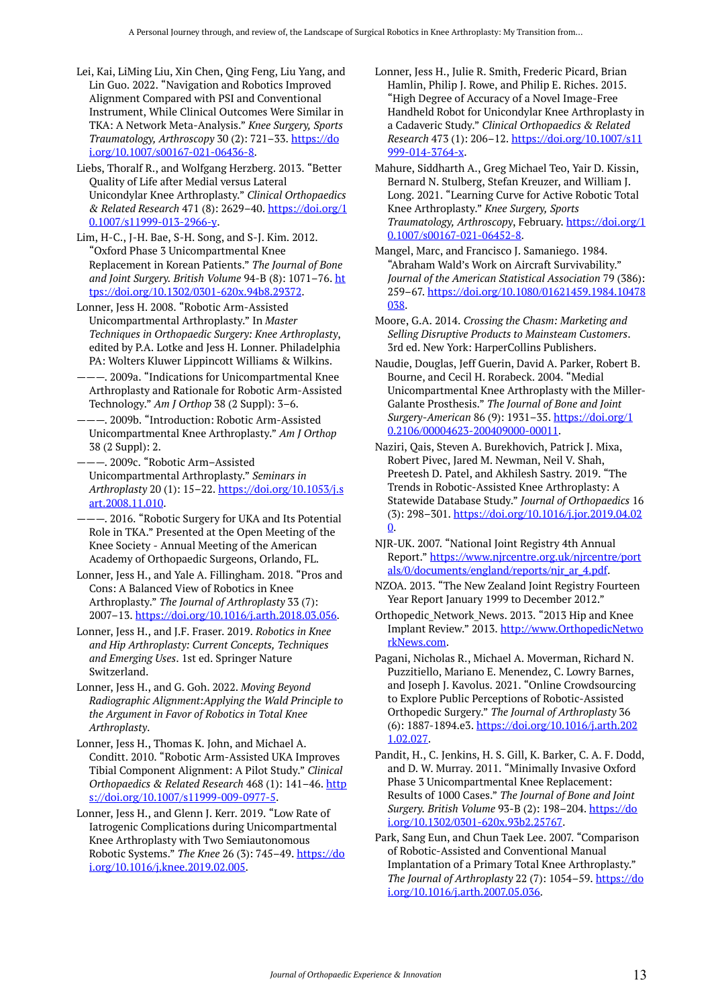- Lei, Kai, LiMing Liu, Xin Chen, Qing Feng, Liu Yang, and Lin Guo. 2022. "Navigation and Robotics Improved Alignment Compared with PSI and Conventional Instrument, While Clinical Outcomes Were Similar in TKA: A Network Meta-Analysis." *Knee Surgery, Sports Traumatology, Arthroscopy* 30 (2): 721–33. [https://do](https://doi.org/10.1007/s00167-021-06436-8) [i.org/10.1007/s00167-021-06436-8](https://doi.org/10.1007/s00167-021-06436-8).
- Liebs, Thoralf R., and Wolfgang Herzberg. 2013. "Better Quality of Life after Medial versus Lateral Unicondylar Knee Arthroplasty." *Clinical Orthopaedics & Related Research* 471 (8): 2629–40. [https://doi.org/1](https://doi.org/10.1007/s11999-013-2966-y) [0.1007/s11999-013-2966-y](https://doi.org/10.1007/s11999-013-2966-y).
- Lim, H-C., J-H. Bae, S-H. Song, and S-J. Kim. 2012. "Oxford Phase 3 Unicompartmental Knee Replacement in Korean Patients." *The Journal of Bone and Joint Surgery. British Volume* 94-B (8): 1071–76. [ht](https://doi.org/10.1302/0301-620x.94b8.29372) [tps://doi.org/10.1302/0301-620x.94b8.29372](https://doi.org/10.1302/0301-620x.94b8.29372).
- Lonner, Jess H. 2008. "Robotic Arm-Assisted Unicompartmental Arthroplasty." In *Master Techniques in Orthopaedic Surgery: Knee Arthroplasty*, edited by P.A. Lotke and Jess H. Lonner. Philadelphia PA: Wolters Kluwer Lippincott Williams & Wilkins.
- ———. 2009a. "Indications for Unicompartmental Knee Arthroplasty and Rationale for Robotic Arm-Assisted Technology." *Am J Orthop* 38 (2 Suppl): 3–6.
- ———. 2009b. "Introduction: Robotic Arm-Assisted Unicompartmental Knee Arthroplasty." *Am J Orthop*  38 (2 Suppl): 2.
- ———. 2009c. "Robotic Arm–Assisted Unicompartmental Arthroplasty." *Seminars in Arthroplasty* 20 (1): 15–22. [https://doi.org/10.1053/j.s](https://doi.org/10.1053/j.sart.2008.11.010) [art.2008.11.010.](https://doi.org/10.1053/j.sart.2008.11.010)
- ———. 2016. "Robotic Surgery for UKA and Its Potential Role in TKA." Presented at the Open Meeting of the Knee Society - Annual Meeting of the American Academy of Orthopaedic Surgeons, Orlando, FL.
- Lonner, Jess H., and Yale A. Fillingham. 2018. "Pros and Cons: A Balanced View of Robotics in Knee Arthroplasty." *The Journal of Arthroplasty* 33 (7): 2007–13. [https://doi.org/10.1016/j.arth.2018.03.056.](https://doi.org/10.1016/j.arth.2018.03.056)
- Lonner, Jess H., and J.F. Fraser. 2019. *Robotics in Knee and Hip Arthroplasty: Current Concepts, Techniques and Emerging Uses*. 1st ed. Springer Nature Switzerland.
- Lonner, Jess H., and G. Goh. 2022. *Moving Beyond Radiographic Alignment:Applying the Wald Principle to the Argument in Favor of Robotics in Total Knee Arthroplasty*.
- Lonner, Jess H., Thomas K. John, and Michael A. Conditt. 2010. "Robotic Arm-Assisted UKA Improves Tibial Component Alignment: A Pilot Study." *Clinical Orthopaedics & Related Research* 468 (1): 141-46. [http](https://doi.org/10.1007/s11999-009-0977-5) [s://doi.org/10.1007/s11999-009-0977-5.](https://doi.org/10.1007/s11999-009-0977-5)
- Lonner, Jess H., and Glenn J. Kerr. 2019. "Low Rate of Iatrogenic Complications during Unicompartmental Knee Arthroplasty with Two Semiautonomous Robotic Systems." *The Knee* 26 (3): 745–49. [https://do](https://doi.org/10.1016/j.knee.2019.02.005) [i.org/10.1016/j.knee.2019.02.005](https://doi.org/10.1016/j.knee.2019.02.005).
- Lonner, Jess H., Julie R. Smith, Frederic Picard, Brian Hamlin, Philip J. Rowe, and Philip E. Riches. 2015. "High Degree of Accuracy of a Novel Image-Free Handheld Robot for Unicondylar Knee Arthroplasty in a Cadaveric Study." *Clinical Orthopaedics & Related Research* 473 (1): 206–12. [https://doi.org/10.1007/s11](https://doi.org/10.1007/s11999-014-3764-x) [999-014-3764-x](https://doi.org/10.1007/s11999-014-3764-x).
- Mahure, Siddharth A., Greg Michael Teo, Yair D. Kissin, Bernard N. Stulberg, Stefan Kreuzer, and William J. Long. 2021. "Learning Curve for Active Robotic Total Knee Arthroplasty." *Knee Surgery, Sports Traumatology, Arthroscopy*, February. [https://doi.org/1](https://doi.org/10.1007/s00167-021-06452-8) [0.1007/s00167-021-06452-8.](https://doi.org/10.1007/s00167-021-06452-8)
- Mangel, Marc, and Francisco J. Samaniego. 1984. "Abraham Wald's Work on Aircraft Survivability." *Journal of the American Statistical Association* 79 (386): 259–67. [https://doi.org/10.1080/01621459.1984.10478](https://doi.org/10.1080/01621459.1984.10478038) [038.](https://doi.org/10.1080/01621459.1984.10478038)
- Moore, G.A. 2014. *Crossing the Chasm: Marketing and Selling Disruptive Products to Mainsteam Customers*. 3rd ed. New York: HarperCollins Publishers.
- Naudie, Douglas, Jeff Guerin, David A. Parker, Robert B. Bourne, and Cecil H. Rorabeck. 2004. "Medial Unicompartmental Knee Arthroplasty with the Miller-Galante Prosthesis." *The Journal of Bone and Joint Surgery-American* 86 (9): 1931–35. [https://doi.org/1](https://doi.org/10.2106/00004623-200409000-00011) [0.2106/00004623-200409000-00011.](https://doi.org/10.2106/00004623-200409000-00011)
- Naziri, Qais, Steven A. Burekhovich, Patrick J. Mixa, Robert Pivec, Jared M. Newman, Neil V. Shah, Preetesh D. Patel, and Akhilesh Sastry. 2019. "The Trends in Robotic-Assisted Knee Arthroplasty: A Statewide Database Study." *Journal of Orthopaedics* 16 (3): 298–301. [https://doi.org/10.1016/j.jor.2019.04.02](https://doi.org/10.1016/j.jor.2019.04.020) [0.](https://doi.org/10.1016/j.jor.2019.04.020)
- NJR-UK. 2007. "National Joint Registry 4th Annual Report." [https://www.njrcentre.org.uk/njrcentre/port](https://www.njrcentre.org.uk/njrcentre/portals/0/documents/england/reports/njr_ar_4.pdf) [als/0/documents/england/reports/njr\\_ar\\_4.pdf](https://www.njrcentre.org.uk/njrcentre/portals/0/documents/england/reports/njr_ar_4.pdf).
- NZOA. 2013. "The New Zealand Joint Registry Fourteen Year Report January 1999 to December 2012."
- Orthopedic\_Network\_News. 2013. "2013 Hip and Knee Implant Review." 2013. [http://www.OrthopedicNetwo](http://www.orthopedicnetworknews.com/) [rkNews.com](http://www.orthopedicnetworknews.com/).
- Pagani, Nicholas R., Michael A. Moverman, Richard N. Puzzitiello, Mariano E. Menendez, C. Lowry Barnes, and Joseph J. Kavolus. 2021. "Online Crowdsourcing to Explore Public Perceptions of Robotic-Assisted Orthopedic Surgery." *The Journal of Arthroplasty* 36 (6): 1887-1894.e3. [https://doi.org/10.1016/j.arth.202](https://doi.org/10.1016/j.arth.2021.02.027) [1.02.027.](https://doi.org/10.1016/j.arth.2021.02.027)
- Pandit, H., C. Jenkins, H. S. Gill, K. Barker, C. A. F. Dodd, and D. W. Murray. 2011. "Minimally Invasive Oxford Phase 3 Unicompartmental Knee Replacement: Results of 1000 Cases." *The Journal of Bone and Joint Surgery. British Volume* 93-B (2): 198–204. [https://do](https://doi.org/10.1302/0301-620x.93b2.25767) [i.org/10.1302/0301-620x.93b2.25767](https://doi.org/10.1302/0301-620x.93b2.25767).
- Park, Sang Eun, and Chun Taek Lee. 2007. "Comparison of Robotic-Assisted and Conventional Manual Implantation of a Primary Total Knee Arthroplasty." *The Journal of Arthroplasty* 22 (7): 1054–59. [https://do](https://doi.org/10.1016/j.arth.2007.05.036) [i.org/10.1016/j.arth.2007.05.036.](https://doi.org/10.1016/j.arth.2007.05.036)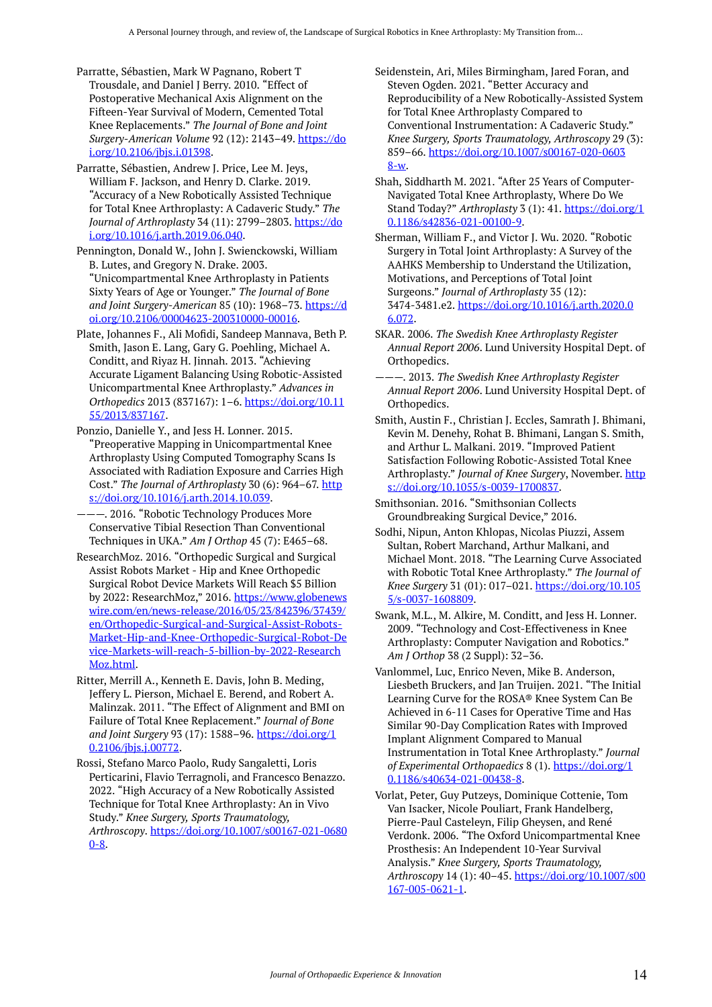- Parratte, Sébastien, Mark W Pagnano, Robert T Trousdale, and Daniel J Berry. 2010. "Effect of Postoperative Mechanical Axis Alignment on the Fifteen-Year Survival of Modern, Cemented Total Knee Replacements." *The Journal of Bone and Joint Surgery-American Volume* 92 (12): 2143–49. [https://do](https://doi.org/10.2106/jbjs.i.01398) [i.org/10.2106/jbjs.i.01398](https://doi.org/10.2106/jbjs.i.01398).
- Parratte, Sébastien, Andrew J. Price, Lee M. Jeys, William F. Jackson, and Henry D. Clarke. 2019. "Accuracy of a New Robotically Assisted Technique for Total Knee Arthroplasty: A Cadaveric Study." *The Journal of Arthroplasty* 34 (11): 2799–2803. [https://do](https://doi.org/10.1016/j.arth.2019.06.040) [i.org/10.1016/j.arth.2019.06.040.](https://doi.org/10.1016/j.arth.2019.06.040)
- Pennington, Donald W., John J. Swienckowski, William B. Lutes, and Gregory N. Drake. 2003. "Unicompartmental Knee Arthroplasty in Patients Sixty Years of Age or Younger." *The Journal of Bone and Joint Surgery-American* 85 (10): 1968–73. [https://d](https://doi.org/10.2106/00004623-200310000-00016) [oi.org/10.2106/00004623-200310000-00016.](https://doi.org/10.2106/00004623-200310000-00016)
- Plate, Johannes F., Ali Mofidi, Sandeep Mannava, Beth P. Smith, Jason E. Lang, Gary G. Poehling, Michael A. Conditt, and Riyaz H. Jinnah. 2013. "Achieving Accurate Ligament Balancing Using Robotic-Assisted Unicompartmental Knee Arthroplasty." *Advances in Orthopedics* 2013 (837167): 1–6. [https://doi.org/10.11](https://doi.org/10.1155/2013/837167) [55/2013/837167](https://doi.org/10.1155/2013/837167).
- Ponzio, Danielle Y., and Jess H. Lonner. 2015. "Preoperative Mapping in Unicompartmental Knee Arthroplasty Using Computed Tomography Scans Is Associated with Radiation Exposure and Carries High Cost." The Journal of Arthroplasty 30 (6): 964-67. [http](https://doi.org/10.1016/j.arth.2014.10.039) [s://doi.org/10.1016/j.arth.2014.10.039.](https://doi.org/10.1016/j.arth.2014.10.039)

———. 2016. "Robotic Technology Produces More Conservative Tibial Resection Than Conventional Techniques in UKA." *Am J Orthop* 45 (7): E465–68.

- ResearchMoz. 2016. "Orthopedic Surgical and Surgical Assist Robots Market - Hip and Knee Orthopedic Surgical Robot Device Markets Will Reach \$5 Billion by 2022: ResearchMoz," 2016. [https://www.globenews](https://www.globenewswire.com/en/news-release/2016/05/23/842396/37439/en/Orthopedic-Surgical-and-Surgical-Assist-Robots-Market-Hip-and-Knee-Orthopedic-Surgical-Robot-Device-Markets-will-reach-5-billion-by-2022-ResearchMoz.html) [wire.com/en/news-release/2016/05/23/842396/37439/](https://www.globenewswire.com/en/news-release/2016/05/23/842396/37439/en/Orthopedic-Surgical-and-Surgical-Assist-Robots-Market-Hip-and-Knee-Orthopedic-Surgical-Robot-Device-Markets-will-reach-5-billion-by-2022-ResearchMoz.html) [en/Orthopedic-Surgical-and-Surgical-Assist-Robots-](https://www.globenewswire.com/en/news-release/2016/05/23/842396/37439/en/Orthopedic-Surgical-and-Surgical-Assist-Robots-Market-Hip-and-Knee-Orthopedic-Surgical-Robot-Device-Markets-will-reach-5-billion-by-2022-ResearchMoz.html)[Market-Hip-and-Knee-Orthopedic-Surgical-Robot-De](https://www.globenewswire.com/en/news-release/2016/05/23/842396/37439/en/Orthopedic-Surgical-and-Surgical-Assist-Robots-Market-Hip-and-Knee-Orthopedic-Surgical-Robot-Device-Markets-will-reach-5-billion-by-2022-ResearchMoz.html) [vice-Markets-will-reach-5-billion-by-2022-Research](https://www.globenewswire.com/en/news-release/2016/05/23/842396/37439/en/Orthopedic-Surgical-and-Surgical-Assist-Robots-Market-Hip-and-Knee-Orthopedic-Surgical-Robot-Device-Markets-will-reach-5-billion-by-2022-ResearchMoz.html) [Moz.html](https://www.globenewswire.com/en/news-release/2016/05/23/842396/37439/en/Orthopedic-Surgical-and-Surgical-Assist-Robots-Market-Hip-and-Knee-Orthopedic-Surgical-Robot-Device-Markets-will-reach-5-billion-by-2022-ResearchMoz.html).
- Ritter, Merrill A., Kenneth E. Davis, John B. Meding, Jeffery L. Pierson, Michael E. Berend, and Robert A. Malinzak. 2011. "The Effect of Alignment and BMI on Failure of Total Knee Replacement." *Journal of Bone and Joint Surgery* 93 (17): 1588–96. [https://doi.org/1](https://doi.org/10.2106/jbjs.j.00772) [0.2106/jbjs.j.00772.](https://doi.org/10.2106/jbjs.j.00772)
- Rossi, Stefano Marco Paolo, Rudy Sangaletti, Loris Perticarini, Flavio Terragnoli, and Francesco Benazzo. 2022. "High Accuracy of a New Robotically Assisted Technique for Total Knee Arthroplasty: An in Vivo Study." *Knee Surgery, Sports Traumatology, Arthroscopy*. [https://doi.org/10.1007/s00167-021-0680](https://doi.org/10.1007/s00167-021-06800-8)  $0 - 8$ .
- Seidenstein, Ari, Miles Birmingham, Jared Foran, and Steven Ogden. 2021. "Better Accuracy and Reproducibility of a New Robotically-Assisted System for Total Knee Arthroplasty Compared to Conventional Instrumentation: A Cadaveric Study." *Knee Surgery, Sports Traumatology, Arthroscopy* 29 (3): 859–66. [https://doi.org/10.1007/s00167-020-0603](https://doi.org/10.1007/s00167-020-06038-w) [8-w](https://doi.org/10.1007/s00167-020-06038-w).
- Shah, Siddharth M. 2021. "After 25 Years of Computer-Navigated Total Knee Arthroplasty, Where Do We Stand Today?" *Arthroplasty* 3 (1): 41. [https://doi.org/1](https://doi.org/10.1186/s42836-021-00100-9) [0.1186/s42836-021-00100-9](https://doi.org/10.1186/s42836-021-00100-9).
- Sherman, William F., and Victor J. Wu. 2020. "Robotic Surgery in Total Joint Arthroplasty: A Survey of the AAHKS Membership to Understand the Utilization, Motivations, and Perceptions of Total Joint Surgeons." *Journal of Arthroplasty* 35 (12): 3474-3481.e2. [https://doi.org/10.1016/j.arth.2020.0](https://doi.org/10.1016/j.arth.2020.06.072) [6.072.](https://doi.org/10.1016/j.arth.2020.06.072)
- SKAR. 2006. *The Swedish Knee Arthroplasty Register Annual Report 2006*. Lund University Hospital Dept. of Orthopedics.
- ———. 2013. *The Swedish Knee Arthroplasty Register Annual Report 2006*. Lund University Hospital Dept. of Orthopedics.
- Smith, Austin F., Christian J. Eccles, Samrath J. Bhimani, Kevin M. Denehy, Rohat B. Bhimani, Langan S. Smith, and Arthur L. Malkani. 2019. "Improved Patient Satisfaction Following Robotic-Assisted Total Knee Arthroplasty." *Journal of Knee Surgery*, November. [http](https://doi.org/10.1055/s-0039-1700837) [s://doi.org/10.1055/s-0039-1700837](https://doi.org/10.1055/s-0039-1700837).
- Smithsonian. 2016. "Smithsonian Collects Groundbreaking Surgical Device," 2016.
- Sodhi, Nipun, Anton Khlopas, Nicolas Piuzzi, Assem Sultan, Robert Marchand, Arthur Malkani, and Michael Mont. 2018. "The Learning Curve Associated with Robotic Total Knee Arthroplasty." *The Journal of Knee Surgery* 31 (01): 017–021. [https://doi.org/10.105](https://doi.org/10.1055/s-0037-1608809) [5/s-0037-1608809.](https://doi.org/10.1055/s-0037-1608809)
- Swank, M.L., M. Alkire, M. Conditt, and Jess H. Lonner. 2009. "Technology and Cost-Effectiveness in Knee Arthroplasty: Computer Navigation and Robotics." *Am J Orthop* 38 (2 Suppl): 32–36.
- Vanlommel, Luc, Enrico Neven, Mike B. Anderson, Liesbeth Bruckers, and Jan Truijen. 2021. "The Initial Learning Curve for the ROSA® Knee System Can Be Achieved in 6-11 Cases for Operative Time and Has Similar 90-Day Complication Rates with Improved Implant Alignment Compared to Manual Instrumentation in Total Knee Arthroplasty." *Journal of Experimental Orthopaedics* 8 (1). [https://doi.org/1](https://doi.org/10.1186/s40634-021-00438-8) [0.1186/s40634-021-00438-8](https://doi.org/10.1186/s40634-021-00438-8).
- Vorlat, Peter, Guy Putzeys, Dominique Cottenie, Tom Van Isacker, Nicole Pouliart, Frank Handelberg, Pierre-Paul Casteleyn, Filip Gheysen, and René Verdonk. 2006. "The Oxford Unicompartmental Knee Prosthesis: An Independent 10-Year Survival Analysis." *Knee Surgery, Sports Traumatology, Arthroscopy* 14 (1): 40–45. [https://doi.org/10.1007/s00](https://doi.org/10.1007/s00167-005-0621-1) [167-005-0621-1.](https://doi.org/10.1007/s00167-005-0621-1)